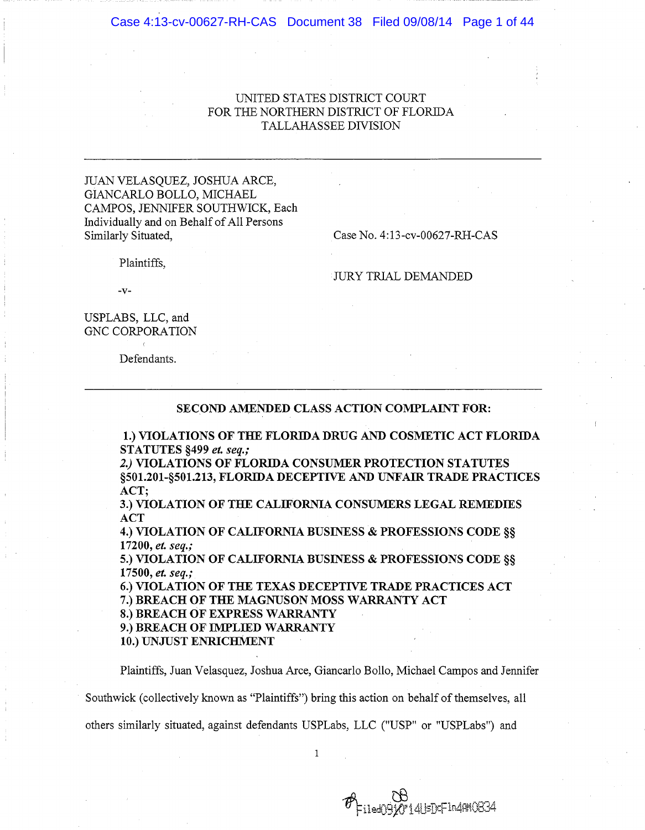# UNITED STATES DISTRICT COURT FOR THE NORTHERN DISTRICT OF FLORIDA TALLAHASSEE DIVISION

### JUAN VELASQUEZ, JOSHUA ARCE, GIANCARLO BOLLO, MICHAEL CAMPOS, JENNIFER SOUTHWICK, Each Individually and on Behalf of All Persons Similarly Situated,

Case No. 4:13-cv-00627-RH-CAS

Plaintiffs.

**JURY TRIAL DEMANDED** 

 $-V -$ 

USPLABS, LLC, and **GNC CORPORATION** 

Defendants.

#### SECOND AMENDED CLASS ACTION COMPLAINT FOR:

1.) VIOLATIONS OF THE FLORIDA DRUG AND COSMETIC ACT FLORIDA STATUTES §499 et. seq.;

2.) VIOLATIONS OF FLORIDA CONSUMER PROTECTION STATUTES §501.201-§501.213, FLORIDA DECEPTIVE AND UNFAIR TRADE PRACTICES ACT:

3.) VIOLATION OF THE CALIFORNIA CONSUMERS LEGAL REMEDIES **ACT** 

4.) VIOLATION OF CALIFORNIA BUSINESS & PROFESSIONS CODE §§ 17200, et. seq.;

5.) VIOLATION OF CALIFORNIA BUSINESS & PROFESSIONS CODE 88 17500, et. sea.:

6.) VIOLATION OF THE TEXAS DECEPTIVE TRADE PRACTICES ACT 7.) BREACH OF THE MAGNUSON MOSS WARRANTY ACT

- 8.) BREACH OF EXPRESS WARRANTY
- 9.) BREACH OF IMPLIED WARRANTY

10.) UNJUST ENRICHMENT

Plaintiffs, Juan Velasquez, Joshua Arce, Giancarlo Bollo, Michael Campos and Jennifer

Southwick (collectively known as "Plaintiffs") bring this action on behalf of themselves, all

others similarly situated, against defendants USPLabs, LLC ("USP" or "USPLabs") and

 $\mathbf{1}$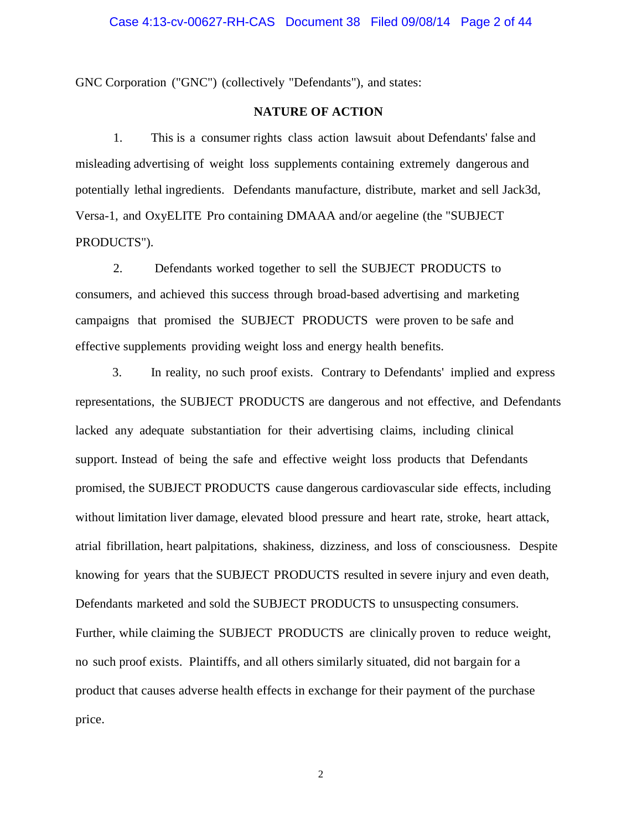GNC Corporation ("GNC") (collectively "Defendants"), and states:

# **NATURE OF ACTION**

1. This is a consumer rights class action lawsuit about Defendants' false and misleading advertising of weight loss supplements containing extremely dangerous and potentially lethal ingredients. Defendants manufacture, distribute, market and sell Jack3d, Versa-1, and OxyELITE Pro containing DMAAA and/or aegeline (the "SUBJECT PRODUCTS").

2. Defendants worked together to sell the SUBJECT PRODUCTS to consumers, and achieved this success through broad-based advertising and marketing campaigns that promised the SUBJECT PRODUCTS were proven to be safe and effective supplements providing weight loss and energy health benefits.

3. In reality, no such proof exists. Contrary to Defendants' implied and express representations, the SUBJECT PRODUCTS are dangerous and not effective, and Defendants lacked any adequate substantiation for their advertising claims, including clinical support. Instead of being the safe and effective weight loss products that Defendants promised, the SUBJECT PRODUCTS cause dangerous cardiovascular side effects, including without limitation liver damage, elevated blood pressure and heart rate, stroke, heart attack, atrial fibrillation, heart palpitations, shakiness, dizziness, and loss of consciousness. Despite knowing for years that the SUBJECT PRODUCTS resulted in severe injury and even death, Defendants marketed and sold the SUBJECT PRODUCTS to unsuspecting consumers. Further, while claiming the SUBJECT PRODUCTS are clinically proven to reduce weight, no such proof exists. Plaintiffs, and all others similarly situated, did not bargain for a product that causes adverse health effects in exchange for their payment of the purchase price.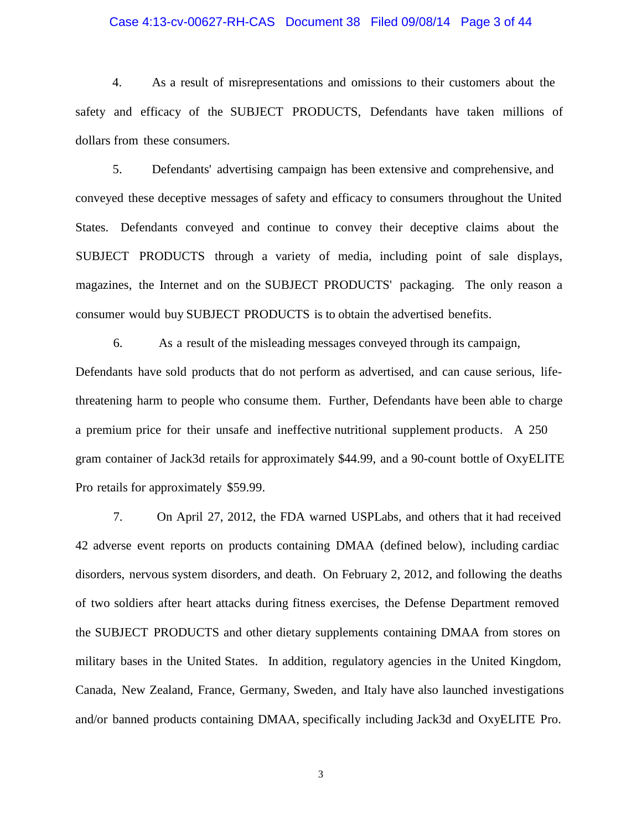#### Case 4:13-cv-00627-RH-CAS Document 38 Filed 09/08/14 Page 3 of 44

4. As a result of misrepresentations and omissions to their customers about the safety and efficacy of the SUBJECT PRODUCTS, Defendants have taken millions of dollars from these consumers.

5. Defendants' advertising campaign has been extensive and comprehensive, and conveyed these deceptive messages of safety and efficacy to consumers throughout the United States. Defendants conveyed and continue to convey their deceptive claims about the SUBJECT PRODUCTS through a variety of media, including point of sale displays, magazines, the Internet and on the SUBJECT PRODUCTS' packaging. The only reason a consumer would buy SUBJECT PRODUCTS is to obtain the advertised benefits.

6. As a result of the misleading messages conveyed through its campaign, Defendants have sold products that do not perform as advertised, and can cause serious, lifethreatening harm to people who consume them. Further, Defendants have been able to charge a premium price for their unsafe and ineffective nutritional supplement products. A 250 gram container of Jack3d retails for approximately \$44.99, and a 90-count bottle of OxyELITE Pro retails for approximately \$59.99.

7. On April 27, 2012, the FDA warned USPLabs, and others that it had received 42 adverse event reports on products containing DMAA (defined below), including cardiac disorders, nervous system disorders, and death. On February 2, 2012, and following the deaths of two soldiers after heart attacks during fitness exercises, the Defense Department removed the SUBJECT PRODUCTS and other dietary supplements containing DMAA from stores on military bases in the United States. In addition, regulatory agencies in the United Kingdom, Canada, New Zealand, France, Germany, Sweden, and Italy have also launched investigations and/or banned products containing DMAA, specifically including Jack3d and OxyELITE Pro.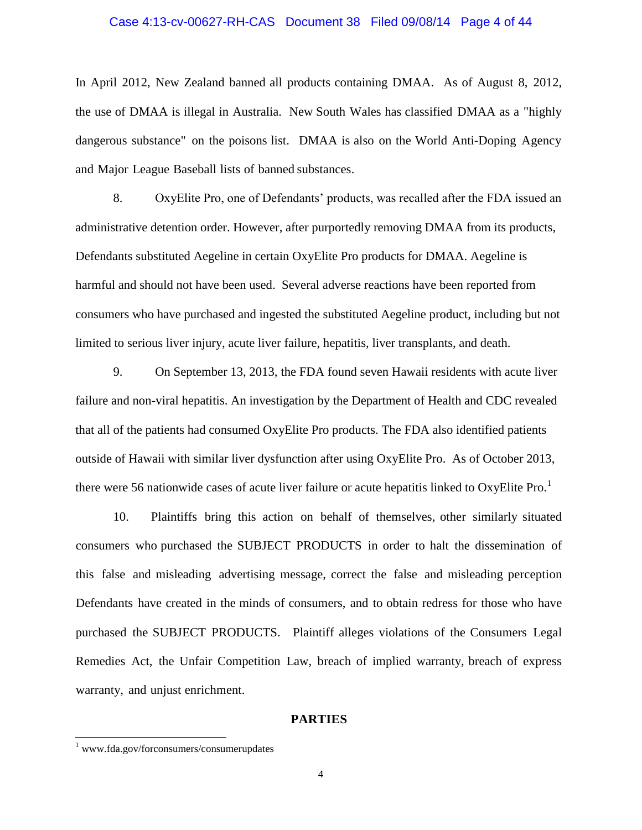#### Case 4:13-cv-00627-RH-CAS Document 38 Filed 09/08/14 Page 4 of 44

In April 2012, New Zealand banned all products containing DMAA. As of August 8, 2012, the use of DMAA is illegal in Australia. New South Wales has classified DMAA as a "highly dangerous substance" on the poisons list. DMAA is also on the World Anti-Doping Agency and Major League Baseball lists of banned substances.

8. OxyElite Pro, one of Defendants' products, was recalled after the FDA issued an administrative detention order. However, after purportedly removing DMAA from its products, Defendants substituted Aegeline in certain OxyElite Pro products for DMAA. Aegeline is harmful and should not have been used. Several adverse reactions have been reported from consumers who have purchased and ingested the substituted Aegeline product, including but not limited to serious liver injury, acute liver failure, hepatitis, liver transplants, and death.

9. On September 13, 2013, the FDA found seven Hawaii residents with acute liver failure and non-viral hepatitis. An investigation by the Department of Health and CDC revealed that all of the patients had consumed OxyElite Pro products. The FDA also identified patients outside of Hawaii with similar liver dysfunction after using OxyElite Pro. As of October 2013, there were 56 nationwide cases of acute liver failure or acute hepatitis linked to  $OxyE$ lite Pro.<sup>1</sup>

10. Plaintiffs bring this action on behalf of themselves, other similarly situated consumers who purchased the SUBJECT PRODUCTS in order to halt the dissemination of this false and misleading advertising message, correct the false and misleading perception Defendants have created in the minds of consumers, and to obtain redress for those who have purchased the SUBJECT PRODUCTS. Plaintiff alleges violations of the Consumers Legal Remedies Act, the Unfair Competition Law, breach of implied warranty, breach of express warranty, and unjust enrichment.

#### **PARTIES**

l

<sup>&</sup>lt;sup>1</sup> www.fda.gov/forconsumers/consumerupdates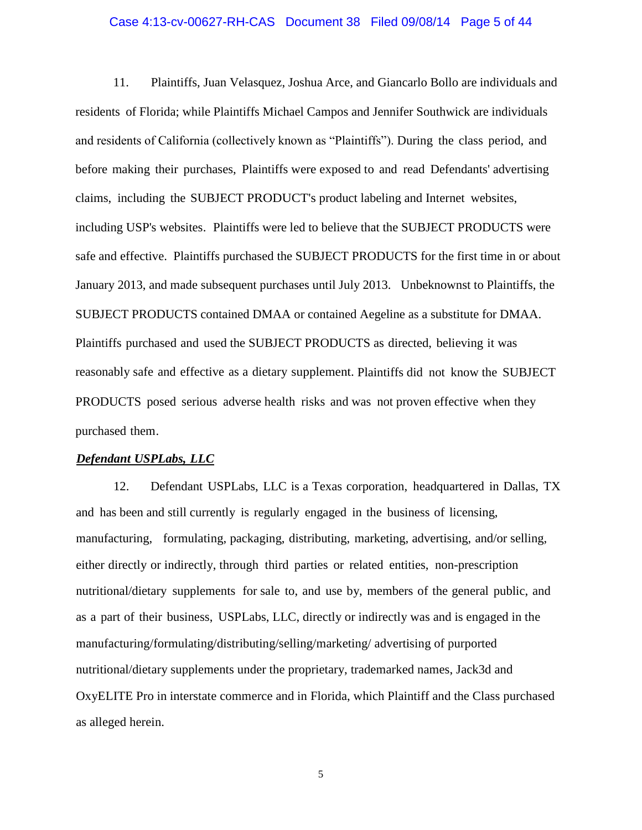#### Case 4:13-cv-00627-RH-CAS Document 38 Filed 09/08/14 Page 5 of 44

11. Plaintiffs, Juan Velasquez, Joshua Arce, and Giancarlo Bollo are individuals and residents of Florida; while Plaintiffs Michael Campos and Jennifer Southwick are individuals and residents of California (collectively known as "Plaintiffs"). During the class period, and before making their purchases, Plaintiffs were exposed to and read Defendants' advertising claims, including the SUBJECT PRODUCT's product labeling and Internet websites, including USP's websites. Plaintiffs were led to believe that the SUBJECT PRODUCTS were safe and effective. Plaintiffs purchased the SUBJECT PRODUCTS for the first time in or about January 2013, and made subsequent purchases until July 2013. Unbeknownst to Plaintiffs, the SUBJECT PRODUCTS contained DMAA or contained Aegeline as a substitute for DMAA. Plaintiffs purchased and used the SUBJECT PRODUCTS as directed, believing it was reasonably safe and effective as a dietary supplement. Plaintiffs did not know the SUBJECT PRODUCTS posed serious adverse health risks and was not proven effective when they purchased them.

#### *Defendant USPLabs, LLC*

12. Defendant USPLabs, LLC is a Texas corporation, headquartered in Dallas, TX and has been and still currently is regularly engaged in the business of licensing, manufacturing, formulating, packaging, distributing, marketing, advertising, and/or selling, either directly or indirectly, through third parties or related entities, non-prescription nutritional/dietary supplements for sale to, and use by, members of the general public, and as a part of their business, USPLabs, LLC, directly or indirectly was and is engaged in the manufacturing/formulating/distributing/selling/marketing/ advertising of purported nutritional/dietary supplements under the proprietary, trademarked names, Jack3d and OxyELITE Pro in interstate commerce and in Florida, which Plaintiff and the Class purchased as alleged herein.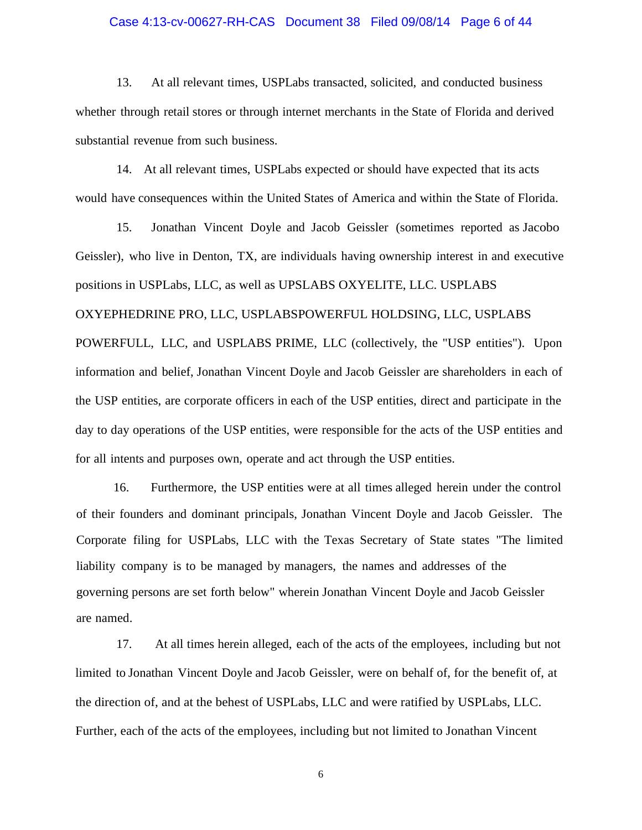#### Case 4:13-cv-00627-RH-CAS Document 38 Filed 09/08/14 Page 6 of 44

 13. At all relevant times, USPLabs transacted, solicited, and conducted business whether through retail stores or through internet merchants in the State of Florida and derived substantial revenue from such business.

 14. At all relevant times, USPLabs expected or should have expected that its acts would have consequences within the United States of America and within the State of Florida.

 15. Jonathan Vincent Doyle and Jacob Geissler (sometimes reported as Jacobo Geissler), who live in Denton, TX, are individuals having ownership interest in and executive positions in USPLabs, LLC, as well as UPSLABS OXYELITE, LLC. USPLABS OXYEPHEDRINE PRO, LLC, USPLABSPOWERFUL HOLDSING, LLC, USPLABS POWERFULL, LLC, and USPLABS PRIME, LLC (collectively, the "USP entities"). Upon information and belief, Jonathan Vincent Doyle and Jacob Geissler are shareholders in each of the USP entities, are corporate officers in each of the USP entities, direct and participate in the day to day operations of the USP entities, were responsible for the acts of the USP entities and for all intents and purposes own, operate and act through the USP entities.

16. Furthermore, the USP entities were at all times alleged herein under the control of their founders and dominant principals, Jonathan Vincent Doyle and Jacob Geissler. The Corporate filing for USPLabs, LLC with the Texas Secretary of State states "The limited liability company is to be managed by managers, the names and addresses of the governing persons are set forth below" wherein Jonathan Vincent Doyle and Jacob Geissler are named.

 17. At all times herein alleged, each of the acts of the employees, including but not limited to Jonathan Vincent Doyle and Jacob Geissler, were on behalf of, for the benefit of, at the direction of, and at the behest of USPLabs, LLC and were ratified by USPLabs, LLC. Further, each of the acts of the employees, including but not limited to Jonathan Vincent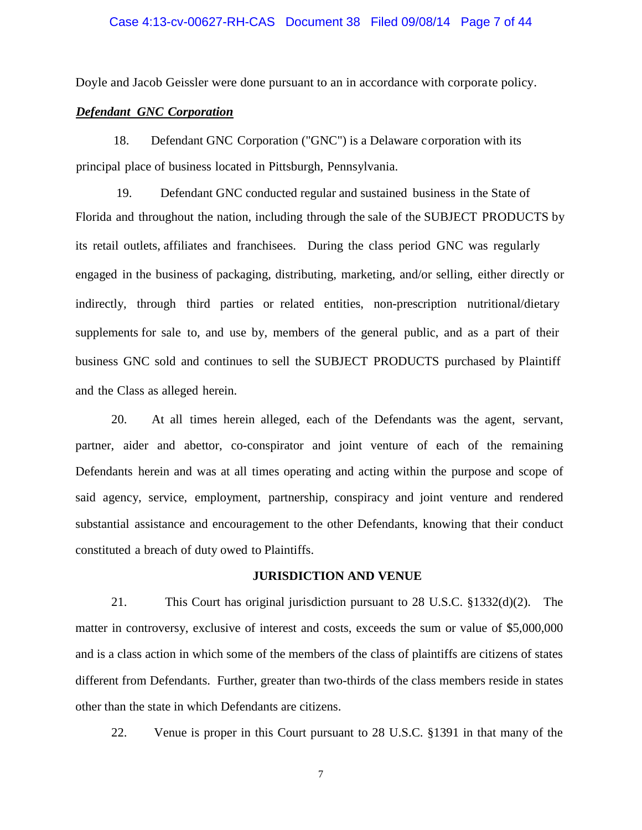Doyle and Jacob Geissler were done pursuant to an in accordance with corporate policy.

# *Defendant GNC Corporation*

18. Defendant GNC Corporation ("GNC") is a Delaware corporation with its principal place of business located in Pittsburgh, Pennsylvania.

 19. Defendant GNC conducted regular and sustained business in the State of Florida and throughout the nation, including through the sale of the SUBJECT PRODUCTS by its retail outlets, affiliates and franchisees. During the class period GNC was regularly engaged in the business of packaging, distributing, marketing, and/or selling, either directly or indirectly, through third parties or related entities, non-prescription nutritional/dietary supplements for sale to, and use by, members of the general public, and as a part of their business GNC sold and continues to sell the SUBJECT PRODUCTS purchased by Plaintiff and the Class as alleged herein.

20. At all times herein alleged, each of the Defendants was the agent, servant, partner, aider and abettor, co-conspirator and joint venture of each of the remaining Defendants herein and was at all times operating and acting within the purpose and scope of said agency, service, employment, partnership, conspiracy and joint venture and rendered substantial assistance and encouragement to the other Defendants, knowing that their conduct constituted a breach of duty owed to Plaintiffs.

#### **JURISDICTION AND VENUE**

21. This Court has original jurisdiction pursuant to 28 U.S.C. §1332(d)(2). The matter in controversy, exclusive of interest and costs, exceeds the sum or value of \$5,000,000 and is a class action in which some of the members of the class of plaintiffs are citizens of states different from Defendants. Further, greater than two-thirds of the class members reside in states other than the state in which Defendants are citizens.

22. Venue is proper in this Court pursuant to 28 U.S.C. §1391 in that many of the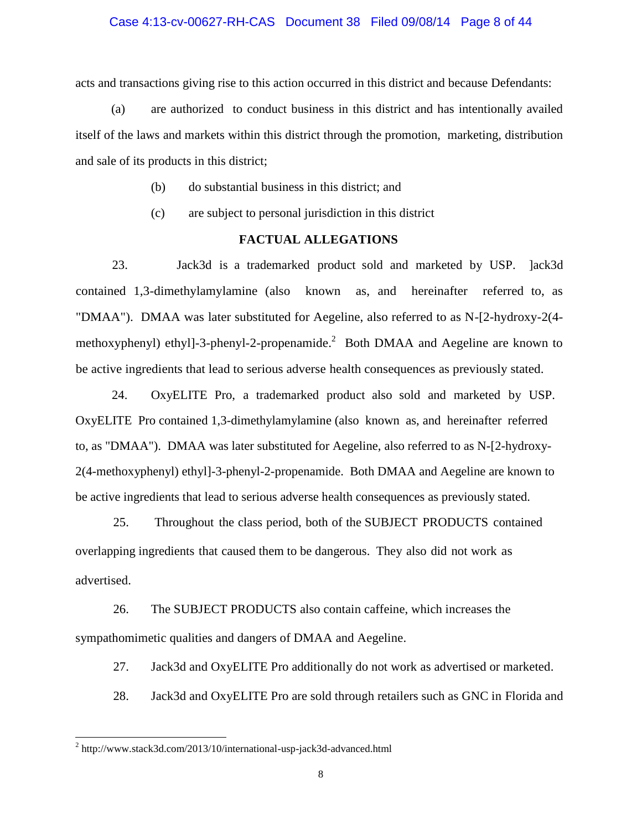### Case 4:13-cv-00627-RH-CAS Document 38 Filed 09/08/14 Page 8 of 44

acts and transactions giving rise to this action occurred in this district and because Defendants:

(a) are authorized to conduct business in this district and has intentionally availed itself of the laws and markets within this district through the promotion, marketing, distribution and sale of its products in this district;

- (b) do substantial business in this district; and
- (c) are subject to personal jurisdiction in this district

# **FACTUAL ALLEGATIONS**

23. Jack3d is a trademarked product sold and marketed by USP. ]ack3d contained 1,3-dimethylamylamine (also known as, and hereinafter referred to, as "DMAA"). DMAA was later substituted for Aegeline, also referred to as N-[2-hydroxy-2(4 methoxyphenyl) ethyl]-3-phenyl-2-propenamide.<sup>2</sup> Both DMAA and Aegeline are known to be active ingredients that lead to serious adverse health consequences as previously stated.

24. OxyELITE Pro, a trademarked product also sold and marketed by USP. OxyELITE Pro contained 1,3-dimethylamylamine (also known as, and hereinafter referred to, as "DMAA"). DMAA was later substituted for Aegeline, also referred to as N-[2-hydroxy-2(4-methoxyphenyl) ethyl]-3-phenyl-2-propenamide. Both DMAA and Aegeline are known to be active ingredients that lead to serious adverse health consequences as previously stated.

25. Throughout the class period, both of the SUBJECT PRODUCTS contained overlapping ingredients that caused them to be dangerous. They also did not work as advertised.

26. The SUBJECT PRODUCTS also contain caffeine, which increases the sympathomimetic qualities and dangers of DMAA and Aegeline.

- 27. Jack3d and OxyELITE Pro additionally do not work as advertised or marketed.
- 28. Jack3d and OxyELITE Pro are sold through retailers such as GNC in Florida and

l

<sup>&</sup>lt;sup>2</sup> http://www.stack3d.com/2013/10/international-usp-jack3d-advanced.html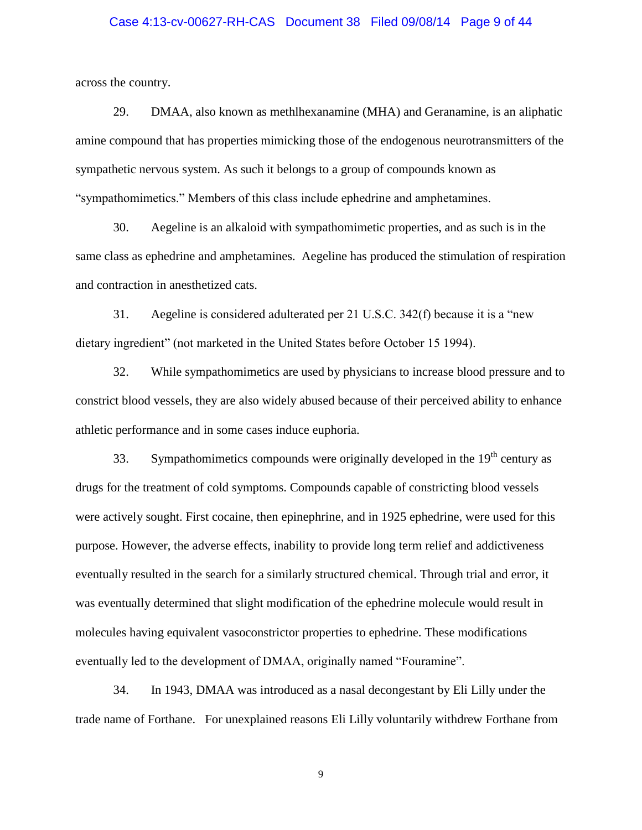#### Case 4:13-cv-00627-RH-CAS Document 38 Filed 09/08/14 Page 9 of 44

across the country.

29. DMAA, also known as methlhexanamine (MHA) and Geranamine, is an aliphatic amine compound that has properties mimicking those of the endogenous neurotransmitters of the sympathetic nervous system. As such it belongs to a group of compounds known as "sympathomimetics." Members of this class include ephedrine and amphetamines.

30. Aegeline is an alkaloid with sympathomimetic properties, and as such is in the same class as ephedrine and amphetamines. Aegeline has produced the stimulation of respiration and contraction in anesthetized cats.

31. Aegeline is considered adulterated per 21 U.S.C. 342(f) because it is a "new dietary ingredient" (not marketed in the United States before October 15 1994).

32. While sympathomimetics are used by physicians to increase blood pressure and to constrict blood vessels, they are also widely abused because of their perceived ability to enhance athletic performance and in some cases induce euphoria.

33. Sympathomimetics compounds were originally developed in the  $19<sup>th</sup>$  century as drugs for the treatment of cold symptoms. Compounds capable of constricting blood vessels were actively sought. First cocaine, then epinephrine, and in 1925 ephedrine, were used for this purpose. However, the adverse effects, inability to provide long term relief and addictiveness eventually resulted in the search for a similarly structured chemical. Through trial and error, it was eventually determined that slight modification of the ephedrine molecule would result in molecules having equivalent vasoconstrictor properties to ephedrine. These modifications eventually led to the development of DMAA, originally named "Fouramine".

34. In 1943, DMAA was introduced as a nasal decongestant by Eli Lilly under the trade name of Forthane. For unexplained reasons Eli Lilly voluntarily withdrew Forthane from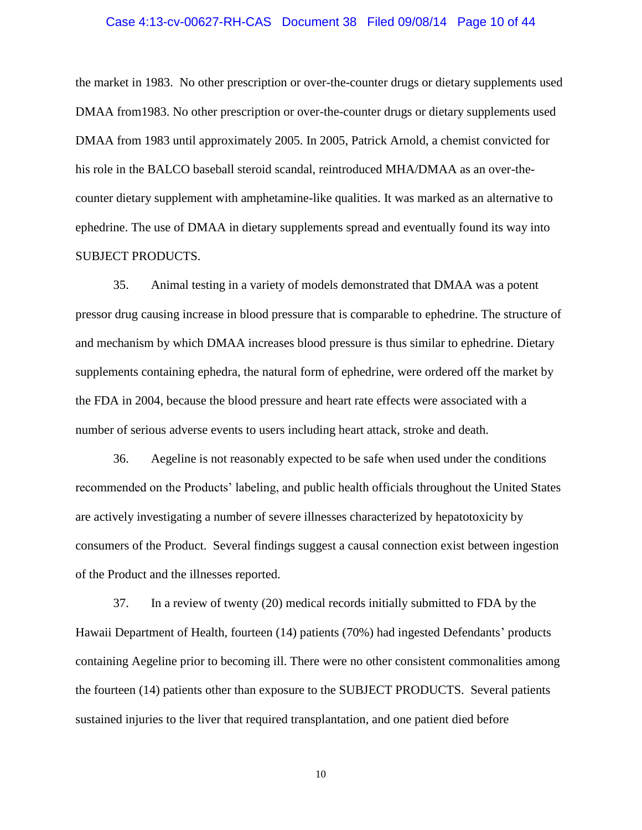#### Case 4:13-cv-00627-RH-CAS Document 38 Filed 09/08/14 Page 10 of 44

the market in 1983. No other prescription or over-the-counter drugs or dietary supplements used DMAA from1983. No other prescription or over-the-counter drugs or dietary supplements used DMAA from 1983 until approximately 2005. In 2005, Patrick Arnold, a chemist convicted for his role in the BALCO baseball steroid scandal, reintroduced MHA/DMAA as an over-thecounter dietary supplement with amphetamine-like qualities. It was marked as an alternative to ephedrine. The use of DMAA in dietary supplements spread and eventually found its way into SUBJECT PRODUCTS.

35. Animal testing in a variety of models demonstrated that DMAA was a potent pressor drug causing increase in blood pressure that is comparable to ephedrine. The structure of and mechanism by which DMAA increases blood pressure is thus similar to ephedrine. Dietary supplements containing ephedra, the natural form of ephedrine, were ordered off the market by the FDA in 2004, because the blood pressure and heart rate effects were associated with a number of serious adverse events to users including heart attack, stroke and death.

36. Aegeline is not reasonably expected to be safe when used under the conditions recommended on the Products' labeling, and public health officials throughout the United States are actively investigating a number of severe illnesses characterized by hepatotoxicity by consumers of the Product. Several findings suggest a causal connection exist between ingestion of the Product and the illnesses reported.

37. In a review of twenty (20) medical records initially submitted to FDA by the Hawaii Department of Health, fourteen (14) patients (70%) had ingested Defendants' products containing Aegeline prior to becoming ill. There were no other consistent commonalities among the fourteen (14) patients other than exposure to the SUBJECT PRODUCTS. Several patients sustained injuries to the liver that required transplantation, and one patient died before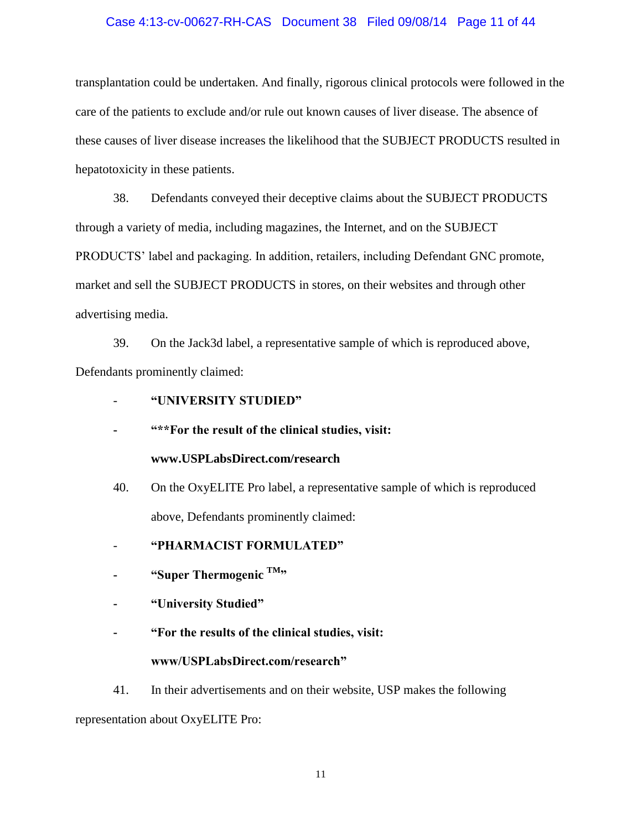#### Case 4:13-cv-00627-RH-CAS Document 38 Filed 09/08/14 Page 11 of 44

transplantation could be undertaken. And finally, rigorous clinical protocols were followed in the care of the patients to exclude and/or rule out known causes of liver disease. The absence of these causes of liver disease increases the likelihood that the SUBJECT PRODUCTS resulted in hepatotoxicity in these patients.

38. Defendants conveyed their deceptive claims about the SUBJECT PRODUCTS through a variety of media, including magazines, the Internet, and on the SUBJECT PRODUCTS' label and packaging. In addition, retailers, including Defendant GNC promote, market and sell the SUBJECT PRODUCTS in stores, on their websites and through other advertising media.

39. On the Jack3d label, a representative sample of which is reproduced above, Defendants prominently claimed:

- **"UNIVERSITY STUDIED"**
- **- "\*\*For the result of the clinical studies, visit:**

# **www.USPLabsDirect.com/research**

- 40. On the OxyELITE Pro label, a representative sample of which is reproduced above, Defendants prominently claimed:
- **"PHARMACIST FORMULATED"**
- **- "Super Thermogenic TM"**
- **- "University Studied"**
- **- "For the results of the clinical studies, visit:**

### **www/USPLabsDirect.com/research"**

41. In their advertisements and on their website, USP makes the following

representation about OxyELITE Pro: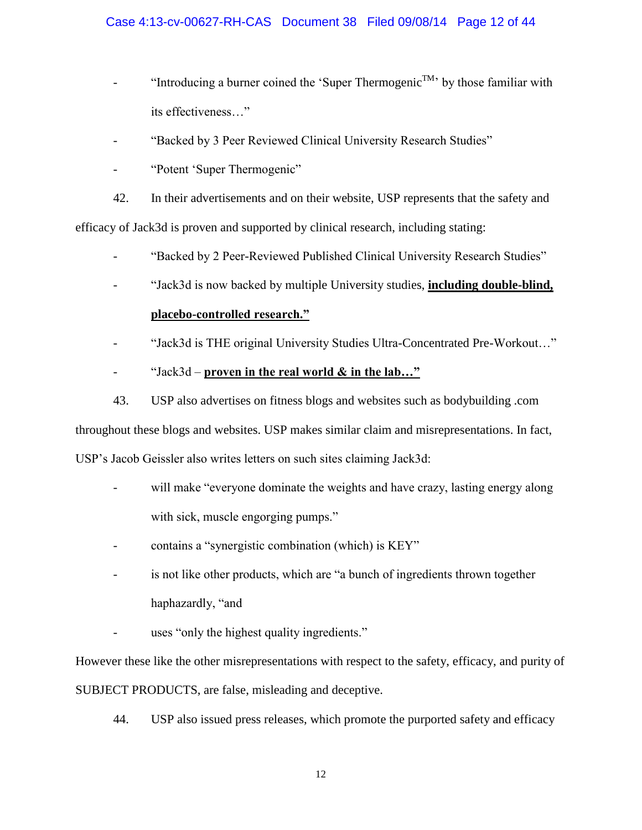# Case 4:13-cv-00627-RH-CAS Document 38 Filed 09/08/14 Page 12 of 44

- "Introducing a burner coined the 'Super Thermogenic<sup>TM</sup>' by those familiar with its effectiveness…"
- "Backed by 3 Peer Reviewed Clinical University Research Studies"
- "Potent 'Super Thermogenic"

42. In their advertisements and on their website, USP represents that the safety and efficacy of Jack3d is proven and supported by clinical research, including stating:

- "Backed by 2 Peer-Reviewed Published Clinical University Research Studies"
- "Jack3d is now backed by multiple University studies, **including double-blind,**

# **placebo-controlled research."**

- "Jack3d is THE original University Studies Ultra-Concentrated Pre-Workout…"
- "Jack3d **proven in the real world & in the lab…"**
- 43. USP also advertises on fitness blogs and websites such as bodybuilding .com throughout these blogs and websites. USP makes similar claim and misrepresentations. In fact,

USP's Jacob Geissler also writes letters on such sites claiming Jack3d:

- will make "everyone dominate the weights and have crazy, lasting energy along with sick, muscle engorging pumps."
- contains a "synergistic combination (which) is KEY"
- is not like other products, which are "a bunch of ingredients thrown together haphazardly, "and
- uses "only the highest quality ingredients."

However these like the other misrepresentations with respect to the safety, efficacy, and purity of SUBJECT PRODUCTS, are false, misleading and deceptive.

44. USP also issued press releases, which promote the purported safety and efficacy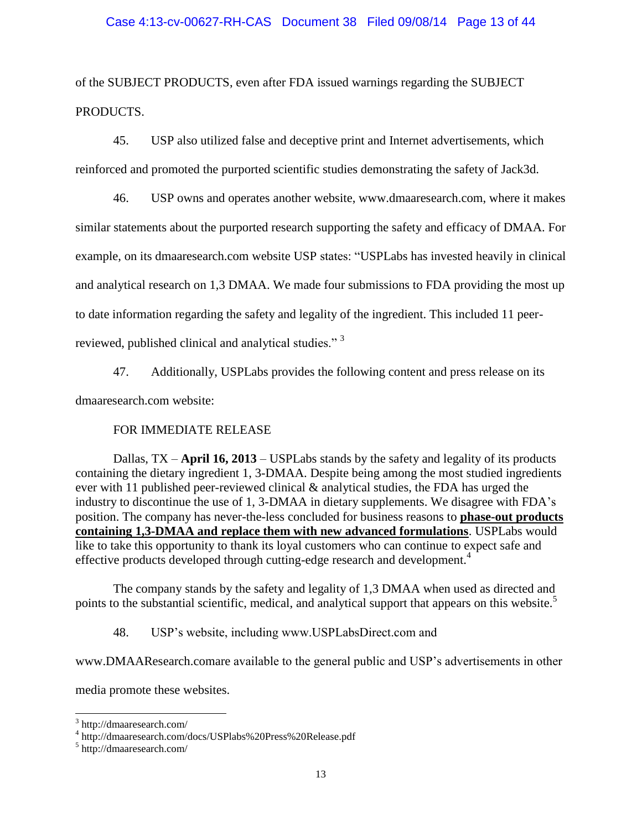# Case 4:13-cv-00627-RH-CAS Document 38 Filed 09/08/14 Page 13 of 44

of the SUBJECT PRODUCTS, even after FDA issued warnings regarding the SUBJECT PRODUCTS.

45. USP also utilized false and deceptive print and Internet advertisements, which reinforced and promoted the purported scientific studies demonstrating the safety of Jack3d.

46. USP owns and operates another website, www.dmaaresearch.com, where it makes similar statements about the purported research supporting the safety and efficacy of DMAA. For example, on its dmaaresearch.com website USP states: "USPLabs has invested heavily in clinical and analytical research on 1,3 DMAA. We made four submissions to FDA providing the most up to date information regarding the safety and legality of the ingredient. This included 11 peerreviewed, published clinical and analytical studies."<sup>3</sup>

47. Additionally, USPLabs provides the following content and press release on its

dmaaresearch.com website:

# FOR IMMEDIATE RELEASE

Dallas, TX – **April 16, 2013** – USPLabs stands by the safety and legality of its products containing the dietary ingredient 1, 3-DMAA. Despite being among the most studied ingredients ever with 11 published peer-reviewed clinical & analytical studies, the FDA has urged the industry to discontinue the use of 1, 3-DMAA in dietary supplements. We disagree with FDA's position. The company has never-the-less concluded for business reasons to **phase-out products containing 1,3-DMAA and replace them with new advanced formulations**. USPLabs would like to take this opportunity to thank its loyal customers who can continue to expect safe and effective products developed through cutting-edge research and development.<sup>4</sup>

The company stands by the safety and legality of 1,3 DMAA when used as directed and points to the substantial scientific, medical, and analytical support that appears on this website.<sup>5</sup>

48. USP's website, including www.USPLabsDirect.com and

www.DMAAResearch.comare available to the general public and USP's advertisements in other

media promote these websites.

l <sup>3</sup> http://dmaaresearch.com/

<sup>4</sup> http://dmaaresearch.com/docs/USPlabs%20Press%20Release.pdf

<sup>5</sup> http://dmaaresearch.com/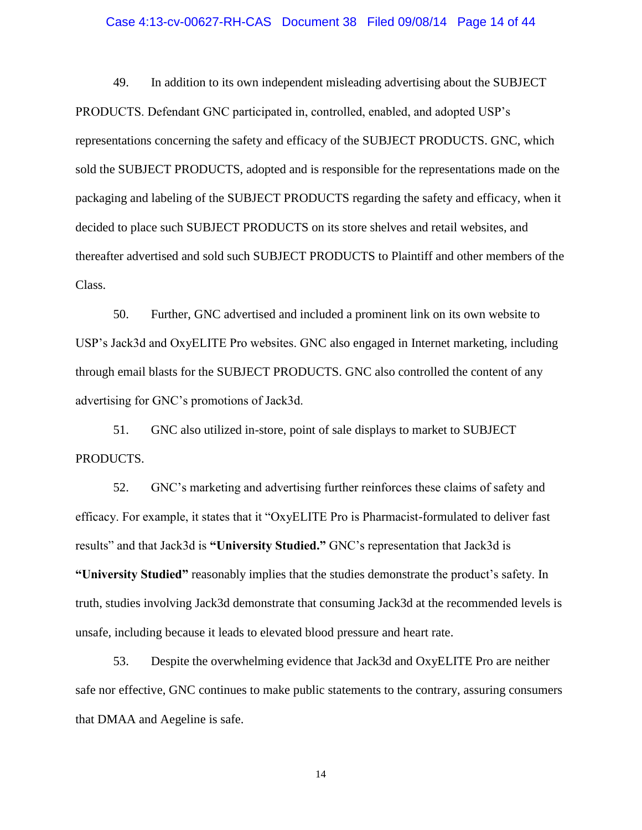#### Case 4:13-cv-00627-RH-CAS Document 38 Filed 09/08/14 Page 14 of 44

49. In addition to its own independent misleading advertising about the SUBJECT PRODUCTS. Defendant GNC participated in, controlled, enabled, and adopted USP's representations concerning the safety and efficacy of the SUBJECT PRODUCTS. GNC, which sold the SUBJECT PRODUCTS, adopted and is responsible for the representations made on the packaging and labeling of the SUBJECT PRODUCTS regarding the safety and efficacy, when it decided to place such SUBJECT PRODUCTS on its store shelves and retail websites, and thereafter advertised and sold such SUBJECT PRODUCTS to Plaintiff and other members of the Class.

50. Further, GNC advertised and included a prominent link on its own website to USP's Jack3d and OxyELITE Pro websites. GNC also engaged in Internet marketing, including through email blasts for the SUBJECT PRODUCTS. GNC also controlled the content of any advertising for GNC's promotions of Jack3d.

51. GNC also utilized in-store, point of sale displays to market to SUBJECT PRODUCTS.

52. GNC's marketing and advertising further reinforces these claims of safety and efficacy. For example, it states that it "OxyELITE Pro is Pharmacist-formulated to deliver fast results" and that Jack3d is **"University Studied."** GNC's representation that Jack3d is **"University Studied"** reasonably implies that the studies demonstrate the product's safety. In truth, studies involving Jack3d demonstrate that consuming Jack3d at the recommended levels is unsafe, including because it leads to elevated blood pressure and heart rate.

53. Despite the overwhelming evidence that Jack3d and OxyELITE Pro are neither safe nor effective, GNC continues to make public statements to the contrary, assuring consumers that DMAA and Aegeline is safe.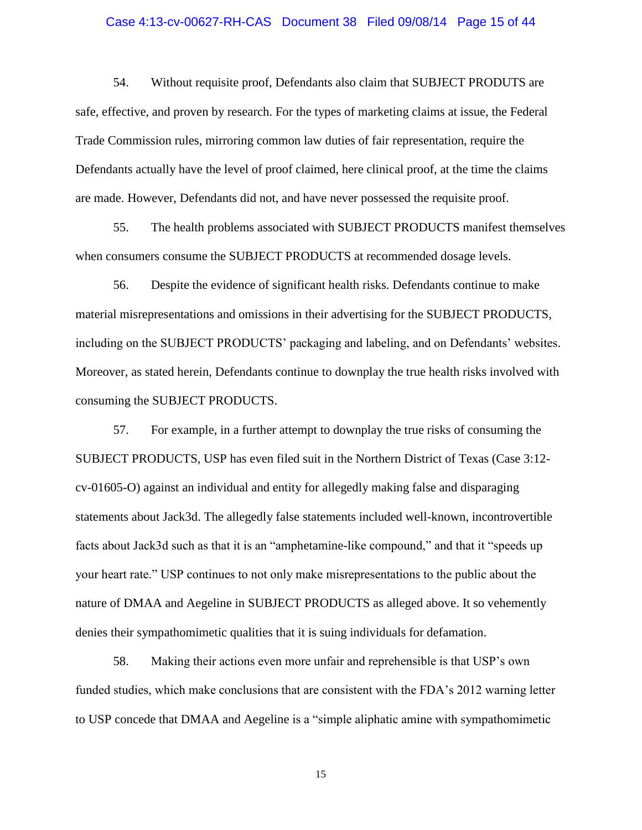#### Case 4:13-cv-00627-RH-CAS Document 38 Filed 09/08/14 Page 15 of 44

54. Without requisite proof, Defendants also claim that SUBJECT PRODUTS are safe, effective, and proven by research. For the types of marketing claims at issue, the Federal Trade Commission rules, mirroring common law duties of fair representation, require the Defendants actually have the level of proof claimed, here clinical proof, at the time the claims are made. However, Defendants did not, and have never possessed the requisite proof.

55. The health problems associated with SUBJECT PRODUCTS manifest themselves when consumers consume the SUBJECT PRODUCTS at recommended dosage levels.

56. Despite the evidence of significant health risks. Defendants continue to make material misrepresentations and omissions in their advertising for the SUBJECT PRODUCTS, including on the SUBJECT PRODUCTS' packaging and labeling, and on Defendants' websites. Moreover, as stated herein, Defendants continue to downplay the true health risks involved with consuming the SUBJECT PRODUCTS.

57. For example, in a further attempt to downplay the true risks of consuming the SUBJECT PRODUCTS, USP has even filed suit in the Northern District of Texas (Case 3:12 cv-01605-O) against an individual and entity for allegedly making false and disparaging statements about Jack3d. The allegedly false statements included well-known, incontrovertible facts about Jack3d such as that it is an "amphetamine-like compound," and that it "speeds up your heart rate." USP continues to not only make misrepresentations to the public about the nature of DMAA and Aegeline in SUBJECT PRODUCTS as alleged above. It so vehemently denies their sympathomimetic qualities that it is suing individuals for defamation.

58. Making their actions even more unfair and reprehensible is that USP's own funded studies, which make conclusions that are consistent with the FDA's 2012 warning letter to USP concede that DMAA and Aegeline is a "simple aliphatic amine with sympathomimetic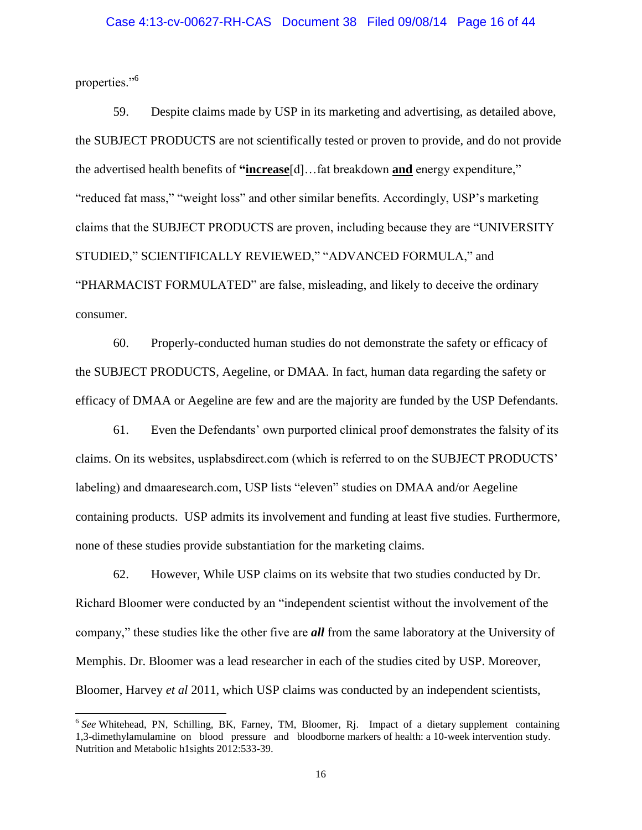properties."<sup>6</sup>

l

59. Despite claims made by USP in its marketing and advertising, as detailed above, the SUBJECT PRODUCTS are not scientifically tested or proven to provide, and do not provide the advertised health benefits of **"increase**[d]…fat breakdown **and** energy expenditure," "reduced fat mass," "weight loss" and other similar benefits. Accordingly, USP's marketing claims that the SUBJECT PRODUCTS are proven, including because they are "UNIVERSITY STUDIED," SCIENTIFICALLY REVIEWED," "ADVANCED FORMULA," and "PHARMACIST FORMULATED" are false, misleading, and likely to deceive the ordinary consumer.

60. Properly-conducted human studies do not demonstrate the safety or efficacy of the SUBJECT PRODUCTS, Aegeline, or DMAA. In fact, human data regarding the safety or efficacy of DMAA or Aegeline are few and are the majority are funded by the USP Defendants.

61. Even the Defendants' own purported clinical proof demonstrates the falsity of its claims. On its websites, usplabsdirect.com (which is referred to on the SUBJECT PRODUCTS' labeling) and dmaaresearch.com, USP lists "eleven" studies on DMAA and/or Aegeline containing products. USP admits its involvement and funding at least five studies. Furthermore, none of these studies provide substantiation for the marketing claims.

62. However, While USP claims on its website that two studies conducted by Dr. Richard Bloomer were conducted by an "independent scientist without the involvement of the company," these studies like the other five are *all* from the same laboratory at the University of Memphis. Dr. Bloomer was a lead researcher in each of the studies cited by USP. Moreover, Bloomer, Harvey *et al* 2011, which USP claims was conducted by an independent scientists,

<sup>&</sup>lt;sup>6</sup> See Whitehead, PN, Schilling, BK, Farney, TM, Bloomer, Rj. Impact of a dietary supplement containing 1,3-dimethylamulamine on blood pressure and bloodborne markers of health: a 10-week intervention study. Nutrition and Metabolic h1sights 2012:533-39.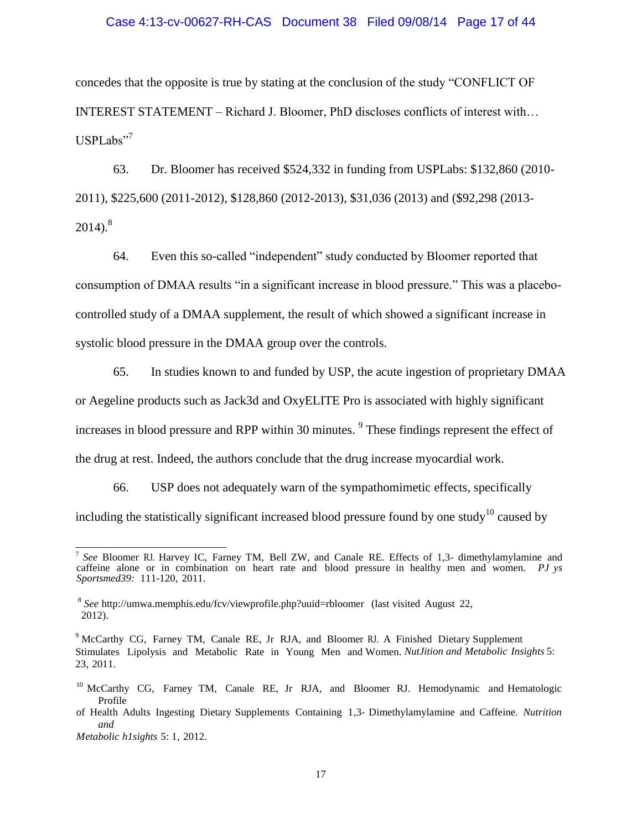#### Case 4:13-cv-00627-RH-CAS Document 38 Filed 09/08/14 Page 17 of 44

concedes that the opposite is true by stating at the conclusion of the study "CONFLICT OF INTEREST STATEMENT – Richard J. Bloomer, PhD discloses conflicts of interest with…  $USPLabs"$ <sup>7</sup>

63. Dr. Bloomer has received \$524,332 in funding from USPLabs: \$132,860 (2010- 2011), \$225,600 (2011-2012), \$128,860 (2012-2013), \$31,036 (2013) and (\$92,298 (2013-  $2014$ ).<sup>8</sup>

64. Even this so-called "independent" study conducted by Bloomer reported that consumption of DMAA results "in a significant increase in blood pressure." This was a placebocontrolled study of a DMAA supplement, the result of which showed a significant increase in systolic blood pressure in the DMAA group over the controls.

65. In studies known to and funded by USP, the acute ingestion of proprietary DMAA or Aegeline products such as Jack3d and OxyELITE Pro is associated with highly significant increases in blood pressure and RPP within 30 minutes. <sup>9</sup> These findings represent the effect of the drug at rest. Indeed, the authors conclude that the drug increase myocardial work.

66. USP does not adequately warn of the sympathomimetic effects, specifically including the statistically significant increased blood pressure found by one study<sup>10</sup> caused by

*Metabolic h1sights* 5: 1, 2012.

<sup>&</sup>lt;sup>7</sup> See Bloomer RJ. Harvey IC, Farney TM, Bell ZW, and Canale RE. Effects of 1,3- dimethylamylamine and caffeine alone or in combination on heart rate and blood pressure in healthy men and women. *PJ ys Sportsmed39:* 111-120, 2011.

<sup>8</sup> *See* http://umwa.memphis.edu/fcv/viewprofile.php?uuid=rbloomer (last visited August 22, 2012).

<sup>&</sup>lt;sup>9</sup> McCarthy CG, Farney TM, Canale RE, Jr RJA, and Bloomer RJ. A Finished Dietary Supplement Stimulates Lipolysis and Metabolic Rate in Young Men and Women. *NutJition and Metabolic Insights* 5: 23, 2011.

<sup>&</sup>lt;sup>10</sup> McCarthy CG, Farney TM, Canale RE, Jr RJA, and Bloomer RJ. Hemodynamic and Hematologic Profile

of Health Adults Ingesting Dietary Supplements Containing 1,3- Dimethylamylamine and Caffeine. *Nutrition and*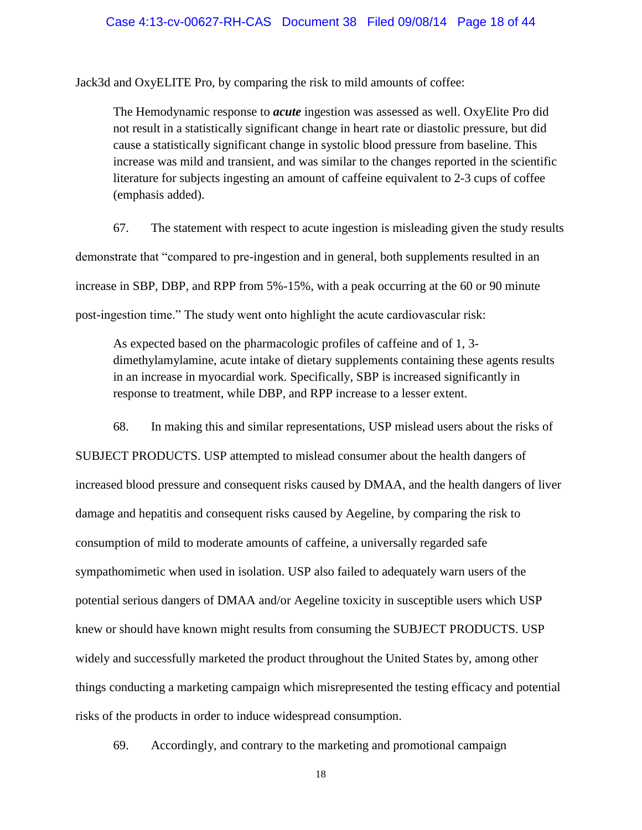### Case 4:13-cv-00627-RH-CAS Document 38 Filed 09/08/14 Page 18 of 44

Jack3d and OxyELITE Pro, by comparing the risk to mild amounts of coffee:

The Hemodynamic response to *acute* ingestion was assessed as well. OxyElite Pro did not result in a statistically significant change in heart rate or diastolic pressure, but did cause a statistically significant change in systolic blood pressure from baseline. This increase was mild and transient, and was similar to the changes reported in the scientific literature for subjects ingesting an amount of caffeine equivalent to 2-3 cups of coffee (emphasis added).

67. The statement with respect to acute ingestion is misleading given the study results demonstrate that "compared to pre-ingestion and in general, both supplements resulted in an increase in SBP, DBP, and RPP from 5%-15%, with a peak occurring at the 60 or 90 minute post-ingestion time." The study went onto highlight the acute cardiovascular risk:

As expected based on the pharmacologic profiles of caffeine and of 1, 3 dimethylamylamine, acute intake of dietary supplements containing these agents results in an increase in myocardial work. Specifically, SBP is increased significantly in response to treatment, while DBP, and RPP increase to a lesser extent.

68. In making this and similar representations, USP mislead users about the risks of

SUBJECT PRODUCTS. USP attempted to mislead consumer about the health dangers of increased blood pressure and consequent risks caused by DMAA, and the health dangers of liver damage and hepatitis and consequent risks caused by Aegeline, by comparing the risk to consumption of mild to moderate amounts of caffeine, a universally regarded safe sympathomimetic when used in isolation. USP also failed to adequately warn users of the potential serious dangers of DMAA and/or Aegeline toxicity in susceptible users which USP knew or should have known might results from consuming the SUBJECT PRODUCTS. USP widely and successfully marketed the product throughout the United States by, among other things conducting a marketing campaign which misrepresented the testing efficacy and potential risks of the products in order to induce widespread consumption.

69. Accordingly, and contrary to the marketing and promotional campaign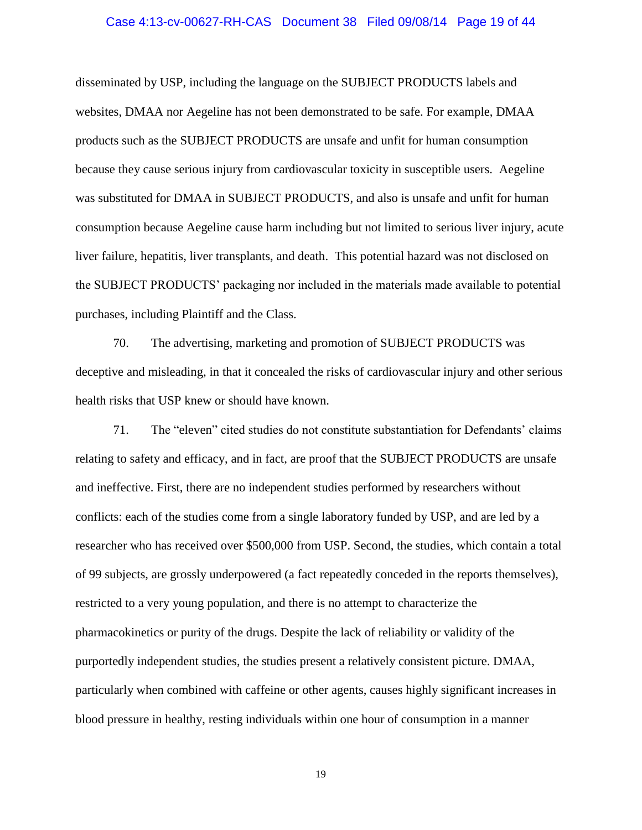#### Case 4:13-cv-00627-RH-CAS Document 38 Filed 09/08/14 Page 19 of 44

disseminated by USP, including the language on the SUBJECT PRODUCTS labels and websites, DMAA nor Aegeline has not been demonstrated to be safe. For example, DMAA products such as the SUBJECT PRODUCTS are unsafe and unfit for human consumption because they cause serious injury from cardiovascular toxicity in susceptible users. Aegeline was substituted for DMAA in SUBJECT PRODUCTS, and also is unsafe and unfit for human consumption because Aegeline cause harm including but not limited to serious liver injury, acute liver failure, hepatitis, liver transplants, and death. This potential hazard was not disclosed on the SUBJECT PRODUCTS' packaging nor included in the materials made available to potential purchases, including Plaintiff and the Class.

70. The advertising, marketing and promotion of SUBJECT PRODUCTS was deceptive and misleading, in that it concealed the risks of cardiovascular injury and other serious health risks that USP knew or should have known.

71. The "eleven" cited studies do not constitute substantiation for Defendants' claims relating to safety and efficacy, and in fact, are proof that the SUBJECT PRODUCTS are unsafe and ineffective. First, there are no independent studies performed by researchers without conflicts: each of the studies come from a single laboratory funded by USP, and are led by a researcher who has received over \$500,000 from USP. Second, the studies, which contain a total of 99 subjects, are grossly underpowered (a fact repeatedly conceded in the reports themselves), restricted to a very young population, and there is no attempt to characterize the pharmacokinetics or purity of the drugs. Despite the lack of reliability or validity of the purportedly independent studies, the studies present a relatively consistent picture. DMAA, particularly when combined with caffeine or other agents, causes highly significant increases in blood pressure in healthy, resting individuals within one hour of consumption in a manner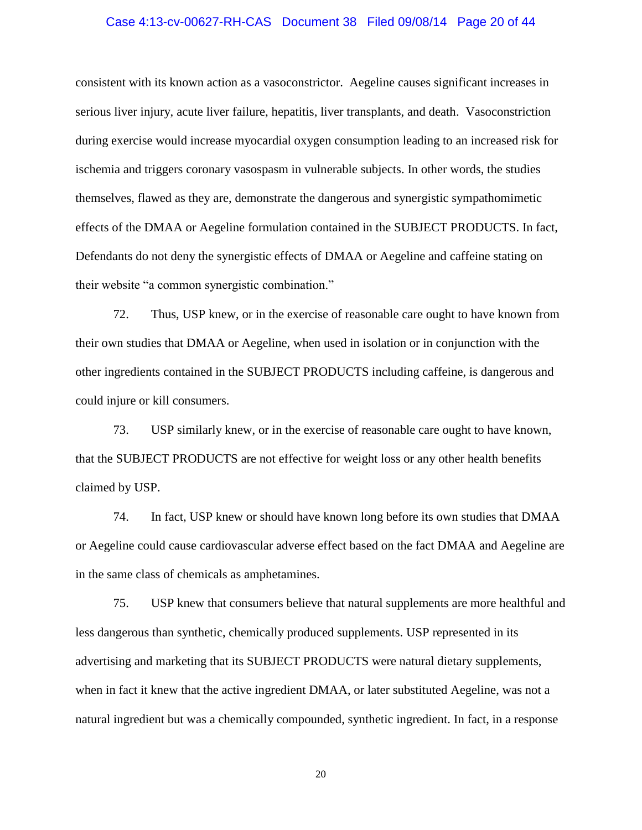#### Case 4:13-cv-00627-RH-CAS Document 38 Filed 09/08/14 Page 20 of 44

consistent with its known action as a vasoconstrictor. Aegeline causes significant increases in serious liver injury, acute liver failure, hepatitis, liver transplants, and death. Vasoconstriction during exercise would increase myocardial oxygen consumption leading to an increased risk for ischemia and triggers coronary vasospasm in vulnerable subjects. In other words, the studies themselves, flawed as they are, demonstrate the dangerous and synergistic sympathomimetic effects of the DMAA or Aegeline formulation contained in the SUBJECT PRODUCTS. In fact, Defendants do not deny the synergistic effects of DMAA or Aegeline and caffeine stating on their website "a common synergistic combination."

72. Thus, USP knew, or in the exercise of reasonable care ought to have known from their own studies that DMAA or Aegeline, when used in isolation or in conjunction with the other ingredients contained in the SUBJECT PRODUCTS including caffeine, is dangerous and could injure or kill consumers.

73. USP similarly knew, or in the exercise of reasonable care ought to have known, that the SUBJECT PRODUCTS are not effective for weight loss or any other health benefits claimed by USP.

74. In fact, USP knew or should have known long before its own studies that DMAA or Aegeline could cause cardiovascular adverse effect based on the fact DMAA and Aegeline are in the same class of chemicals as amphetamines.

75. USP knew that consumers believe that natural supplements are more healthful and less dangerous than synthetic, chemically produced supplements. USP represented in its advertising and marketing that its SUBJECT PRODUCTS were natural dietary supplements, when in fact it knew that the active ingredient DMAA, or later substituted Aegeline, was not a natural ingredient but was a chemically compounded, synthetic ingredient. In fact, in a response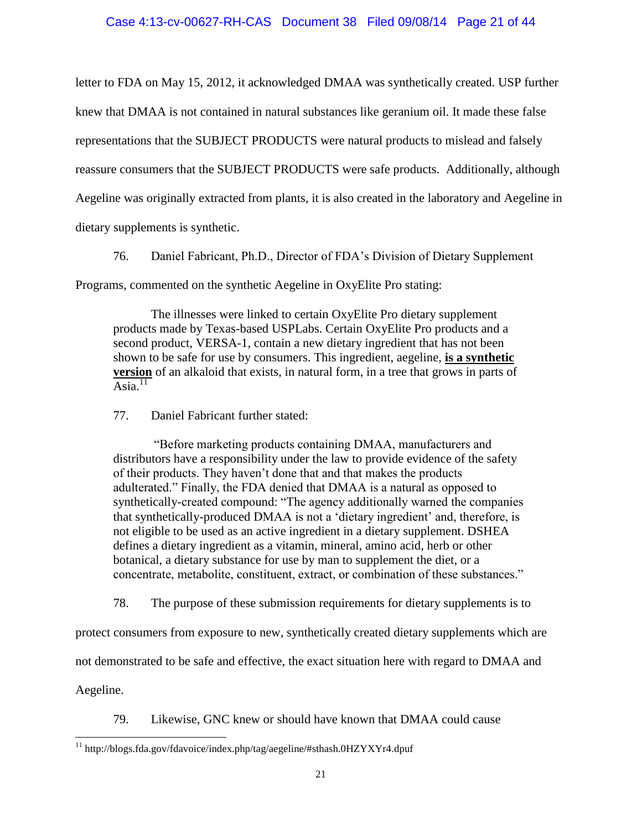letter to FDA on May 15, 2012, it acknowledged DMAA was synthetically created. USP further knew that DMAA is not contained in natural substances like geranium oil. It made these false representations that the SUBJECT PRODUCTS were natural products to mislead and falsely reassure consumers that the SUBJECT PRODUCTS were safe products. Additionally, although Aegeline was originally extracted from plants, it is also created in the laboratory and Aegeline in dietary supplements is synthetic.

76. Daniel Fabricant, Ph.D., Director of FDA's Division of Dietary Supplement

Programs, commented on the synthetic Aegeline in OxyElite Pro stating:

The illnesses were linked to certain OxyElite Pro dietary supplement products made by Texas-based USPLabs. Certain OxyElite Pro products and a second product, VERSA-1, contain a new dietary ingredient that has not been shown to be safe for use by consumers. This ingredient, aegeline, **is a synthetic version** of an alkaloid that exists, in natural form, in a tree that grows in parts of Asia. $11$ 

77. Daniel Fabricant further stated:

"Before marketing products containing DMAA, manufacturers and distributors have a responsibility under the law to provide evidence of the safety of their products. They haven't done that and that makes the products adulterated." Finally, the FDA denied that DMAA is a natural as opposed to synthetically-created compound: "The agency additionally warned the companies that synthetically-produced DMAA is not a 'dietary ingredient' and, therefore, is not eligible to be used as an active ingredient in a dietary supplement. DSHEA defines a dietary ingredient as a vitamin, mineral, amino acid, herb or other botanical, a dietary substance for use by man to supplement the diet, or a concentrate, metabolite, constituent, extract, or combination of these substances."

78. The purpose of these submission requirements for dietary supplements is to

protect consumers from exposure to new, synthetically created dietary supplements which are

not demonstrated to be safe and effective, the exact situation here with regard to DMAA and

Aegeline.

l

79. Likewise, GNC knew or should have known that DMAA could cause

<sup>11</sup> http://blogs.fda.gov/fdavoice/index.php/tag/aegeline/#sthash.0HZYXYr4.dpuf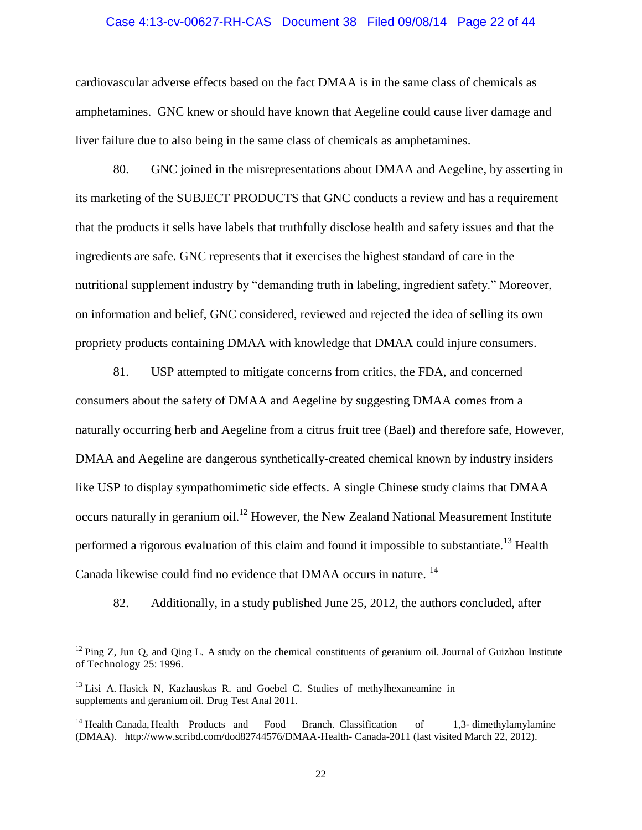#### Case 4:13-cv-00627-RH-CAS Document 38 Filed 09/08/14 Page 22 of 44

cardiovascular adverse effects based on the fact DMAA is in the same class of chemicals as amphetamines. GNC knew or should have known that Aegeline could cause liver damage and liver failure due to also being in the same class of chemicals as amphetamines.

80. GNC joined in the misrepresentations about DMAA and Aegeline, by asserting in its marketing of the SUBJECT PRODUCTS that GNC conducts a review and has a requirement that the products it sells have labels that truthfully disclose health and safety issues and that the ingredients are safe. GNC represents that it exercises the highest standard of care in the nutritional supplement industry by "demanding truth in labeling, ingredient safety." Moreover, on information and belief, GNC considered, reviewed and rejected the idea of selling its own propriety products containing DMAA with knowledge that DMAA could injure consumers.

81. USP attempted to mitigate concerns from critics, the FDA, and concerned consumers about the safety of DMAA and Aegeline by suggesting DMAA comes from a naturally occurring herb and Aegeline from a citrus fruit tree (Bael) and therefore safe, However, DMAA and Aegeline are dangerous synthetically-created chemical known by industry insiders like USP to display sympathomimetic side effects. A single Chinese study claims that DMAA occurs naturally in geranium oil.<sup>12</sup> However, the New Zealand National Measurement Institute performed a rigorous evaluation of this claim and found it impossible to substantiate.<sup>13</sup> Health Canada likewise could find no evidence that DMAA occurs in nature.<sup>14</sup>

82. Additionally, in a study published June 25, 2012, the authors concluded, after

l

 $12$  Ping Z, Jun Q, and Qing L. A study on the chemical constituents of geranium oil. Journal of Guizhou Institute of Technology 25: 1996.

 $13$  Lisi A. Hasick N, Kazlauskas R. and Goebel C. Studies of methylhexaneamine in supplements and geranium oil. Drug Test Anal 2011.

<sup>&</sup>lt;sup>14</sup> Health Canada, Health Products and Food Branch. Classification of 1,3- dimethylamylamine (DMAA). http://www.scribd.com/dod82744576/DMAA-Health- Canada-2011 (last visited March 22, 2012).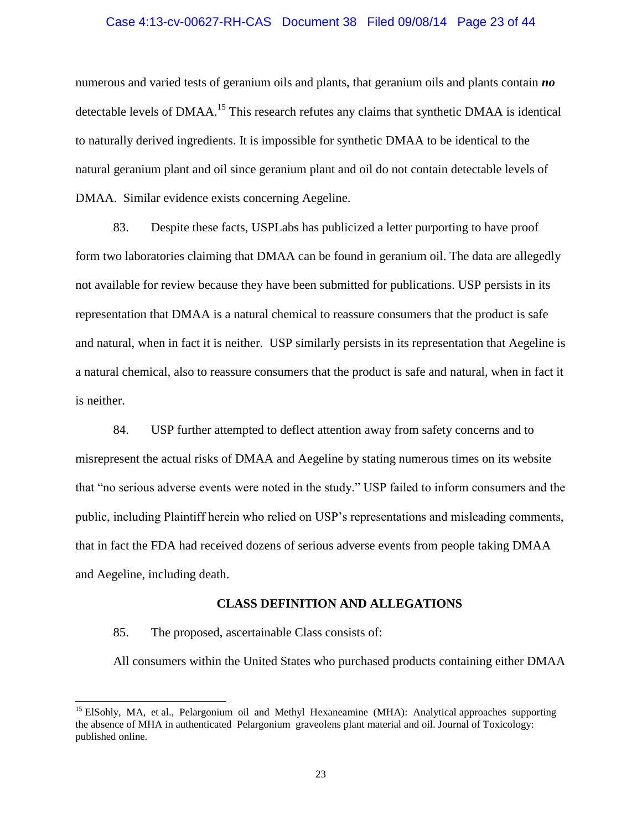#### Case 4:13-cv-00627-RH-CAS Document 38 Filed 09/08/14 Page 23 of 44

numerous and varied tests of geranium oils and plants, that geranium oils and plants contain *no*  detectable levels of DMAA.<sup>15</sup> This research refutes any claims that synthetic DMAA is identical to naturally derived ingredients. It is impossible for synthetic DMAA to be identical to the natural geranium plant and oil since geranium plant and oil do not contain detectable levels of DMAA. Similar evidence exists concerning Aegeline.

83. Despite these facts, USPLabs has publicized a letter purporting to have proof form two laboratories claiming that DMAA can be found in geranium oil. The data are allegedly not available for review because they have been submitted for publications. USP persists in its representation that DMAA is a natural chemical to reassure consumers that the product is safe and natural, when in fact it is neither. USP similarly persists in its representation that Aegeline is a natural chemical, also to reassure consumers that the product is safe and natural, when in fact it is neither.

84. USP further attempted to deflect attention away from safety concerns and to misrepresent the actual risks of DMAA and Aegeline by stating numerous times on its website that "no serious adverse events were noted in the study." USP failed to inform consumers and the public, including Plaintiff herein who relied on USP's representations and misleading comments, that in fact the FDA had received dozens of serious adverse events from people taking DMAA and Aegeline, including death.

#### **CLASS DEFINITION AND ALLEGATIONS**

#### 85. The proposed, ascertainable Class consists of:

 $\overline{\phantom{a}}$ 

All consumers within the United States who purchased products containing either DMAA

<sup>&</sup>lt;sup>15</sup> ElSohly, MA, et al., Pelargonium oil and Methyl Hexaneamine (MHA): Analytical approaches supporting the absence of MHA in authenticated Pelargonium graveolens plant material and oil. Journal of Toxicology: published online.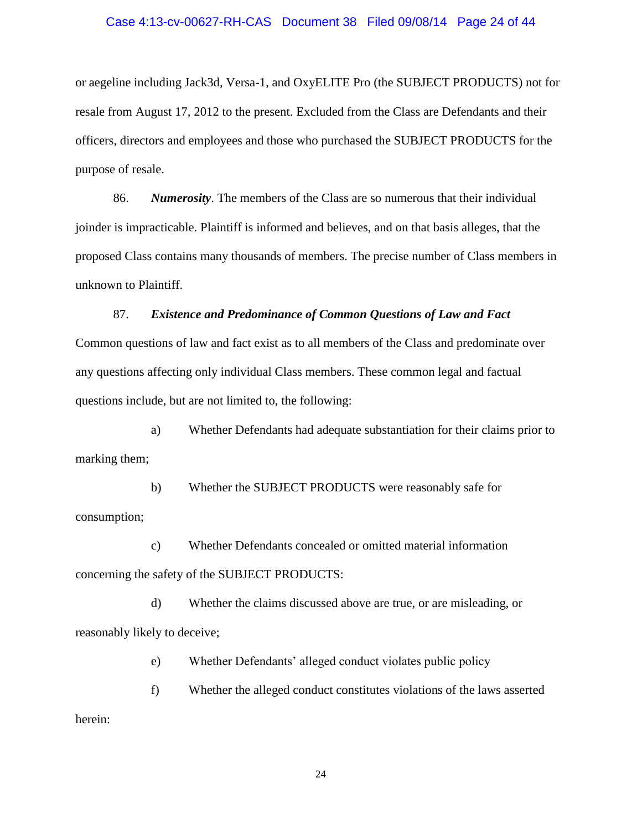#### Case 4:13-cv-00627-RH-CAS Document 38 Filed 09/08/14 Page 24 of 44

or aegeline including Jack3d, Versa-1, and OxyELITE Pro (the SUBJECT PRODUCTS) not for resale from August 17, 2012 to the present. Excluded from the Class are Defendants and their officers, directors and employees and those who purchased the SUBJECT PRODUCTS for the purpose of resale.

86. *Numerosity*. The members of the Class are so numerous that their individual joinder is impracticable. Plaintiff is informed and believes, and on that basis alleges, that the proposed Class contains many thousands of members. The precise number of Class members in unknown to Plaintiff.

#### 87. *Existence and Predominance of Common Questions of Law and Fact*

Common questions of law and fact exist as to all members of the Class and predominate over any questions affecting only individual Class members. These common legal and factual questions include, but are not limited to, the following:

a) Whether Defendants had adequate substantiation for their claims prior to marking them;

b) Whether the SUBJECT PRODUCTS were reasonably safe for consumption;

c) Whether Defendants concealed or omitted material information concerning the safety of the SUBJECT PRODUCTS:

d) Whether the claims discussed above are true, or are misleading, or reasonably likely to deceive;

e) Whether Defendants' alleged conduct violates public policy

f) Whether the alleged conduct constitutes violations of the laws asserted herein: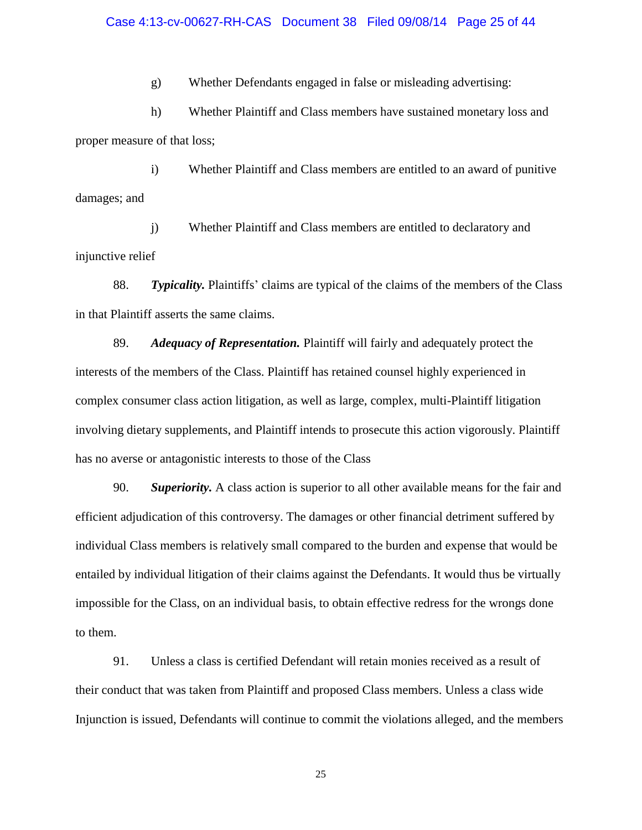#### Case 4:13-cv-00627-RH-CAS Document 38 Filed 09/08/14 Page 25 of 44

g) Whether Defendants engaged in false or misleading advertising:

h) Whether Plaintiff and Class members have sustained monetary loss and proper measure of that loss;

i) Whether Plaintiff and Class members are entitled to an award of punitive damages; and

j) Whether Plaintiff and Class members are entitled to declaratory and injunctive relief

88. *Typicality.* Plaintiffs' claims are typical of the claims of the members of the Class in that Plaintiff asserts the same claims.

89. *Adequacy of Representation.* Plaintiff will fairly and adequately protect the interests of the members of the Class. Plaintiff has retained counsel highly experienced in complex consumer class action litigation, as well as large, complex, multi-Plaintiff litigation involving dietary supplements, and Plaintiff intends to prosecute this action vigorously. Plaintiff has no averse or antagonistic interests to those of the Class

90. *Superiority.* A class action is superior to all other available means for the fair and efficient adjudication of this controversy. The damages or other financial detriment suffered by individual Class members is relatively small compared to the burden and expense that would be entailed by individual litigation of their claims against the Defendants. It would thus be virtually impossible for the Class, on an individual basis, to obtain effective redress for the wrongs done to them.

91. Unless a class is certified Defendant will retain monies received as a result of their conduct that was taken from Plaintiff and proposed Class members. Unless a class wide Injunction is issued, Defendants will continue to commit the violations alleged, and the members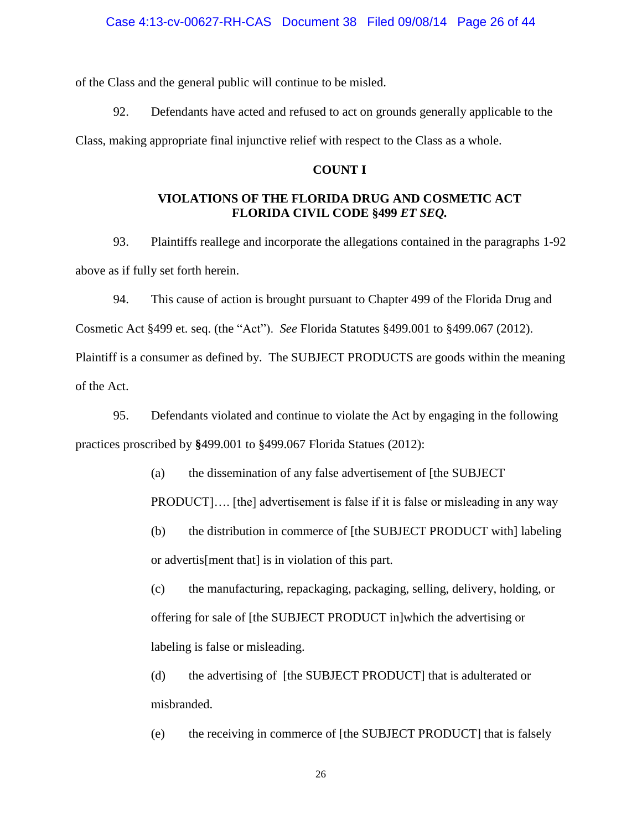### Case 4:13-cv-00627-RH-CAS Document 38 Filed 09/08/14 Page 26 of 44

of the Class and the general public will continue to be misled.

92. Defendants have acted and refused to act on grounds generally applicable to the

Class, making appropriate final injunctive relief with respect to the Class as a whole.

### **COUNT I**

# **VIOLATIONS OF THE FLORIDA DRUG AND COSMETIC ACT FLORIDA CIVIL CODE §499** *ET SEQ.*

93. Plaintiffs reallege and incorporate the allegations contained in the paragraphs 1-92 above as if fully set forth herein.

94. This cause of action is brought pursuant to Chapter 499 of the Florida Drug and Cosmetic Act §499 et. seq. (the "Act"). *See* Florida Statutes §499.001 to §499.067 (2012). Plaintiff is a consumer as defined by. The SUBJECT PRODUCTS are goods within the meaning of the Act.

95. Defendants violated and continue to violate the Act by engaging in the following practices proscribed by **§**499.001 to §499.067 Florida Statues (2012):

(a) the dissemination of any false advertisement of [the SUBJECT

PRODUCT]…. [the] advertisement is false if it is false or misleading in any way

(b) the distribution in commerce of [the SUBJECT PRODUCT with] labeling or advertis[ment that] is in violation of this part.

(c) the manufacturing, repackaging, packaging, selling, delivery, holding, or offering for sale of [the SUBJECT PRODUCT in]which the advertising or labeling is false or misleading.

(d) the advertising of [the SUBJECT PRODUCT] that is adulterated or misbranded.

(e) the receiving in commerce of [the SUBJECT PRODUCT] that is falsely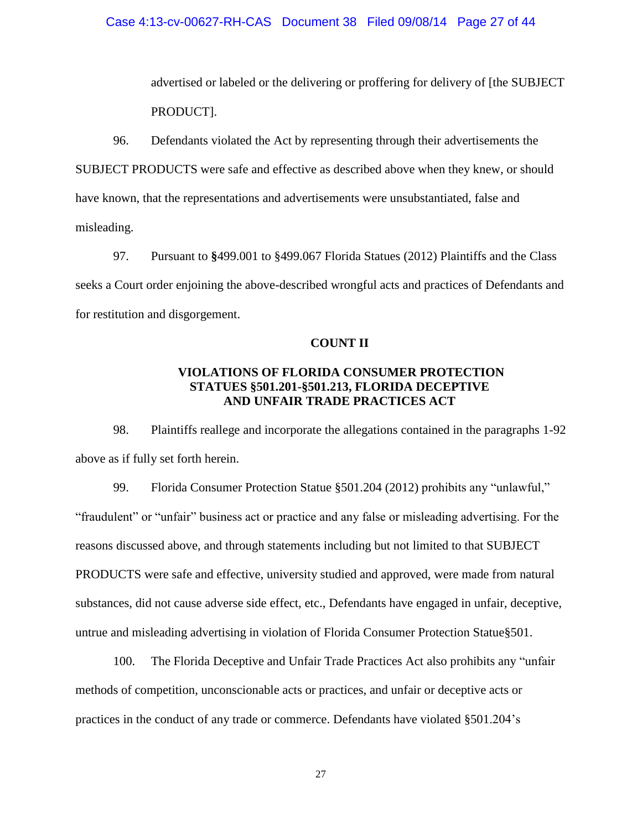#### Case 4:13-cv-00627-RH-CAS Document 38 Filed 09/08/14 Page 27 of 44

advertised or labeled or the delivering or proffering for delivery of [the SUBJECT PRODUCT].

96. Defendants violated the Act by representing through their advertisements the SUBJECT PRODUCTS were safe and effective as described above when they knew, or should have known, that the representations and advertisements were unsubstantiated, false and misleading.

97. Pursuant to **§**499.001 to §499.067 Florida Statues (2012) Plaintiffs and the Class seeks a Court order enjoining the above-described wrongful acts and practices of Defendants and for restitution and disgorgement.

#### **COUNT II**

# **VIOLATIONS OF FLORIDA CONSUMER PROTECTION STATUES §501.201-§501.213, FLORIDA DECEPTIVE AND UNFAIR TRADE PRACTICES ACT**

98. Plaintiffs reallege and incorporate the allegations contained in the paragraphs 1-92 above as if fully set forth herein.

99. Florida Consumer Protection Statue §501.204 (2012) prohibits any "unlawful," "fraudulent" or "unfair" business act or practice and any false or misleading advertising. For the reasons discussed above, and through statements including but not limited to that SUBJECT PRODUCTS were safe and effective, university studied and approved, were made from natural substances, did not cause adverse side effect, etc., Defendants have engaged in unfair, deceptive, untrue and misleading advertising in violation of Florida Consumer Protection Statue§501.

100. The Florida Deceptive and Unfair Trade Practices Act also prohibits any "unfair methods of competition, unconscionable acts or practices, and unfair or deceptive acts or practices in the conduct of any trade or commerce. Defendants have violated §501.204's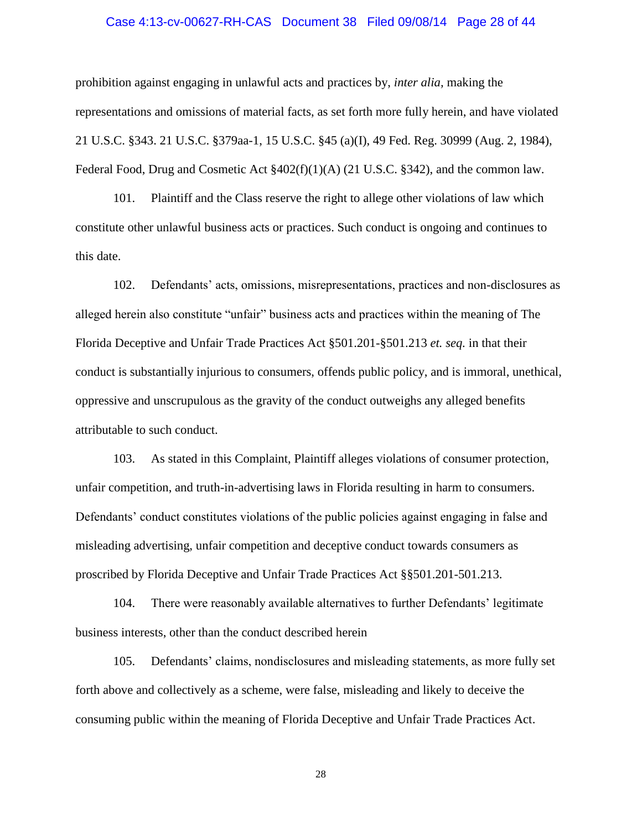#### Case 4:13-cv-00627-RH-CAS Document 38 Filed 09/08/14 Page 28 of 44

prohibition against engaging in unlawful acts and practices by, *inter alia,* making the representations and omissions of material facts, as set forth more fully herein, and have violated 21 U.S.C. §343. 21 U.S.C. §379aa-1, 15 U.S.C. §45 (a)(I), 49 Fed. Reg. 30999 (Aug. 2, 1984), Federal Food, Drug and Cosmetic Act §402(f)(1)(A) (21 U.S.C. §342), and the common law.

101. Plaintiff and the Class reserve the right to allege other violations of law which constitute other unlawful business acts or practices. Such conduct is ongoing and continues to this date.

102. Defendants' acts, omissions, misrepresentations, practices and non-disclosures as alleged herein also constitute "unfair" business acts and practices within the meaning of The Florida Deceptive and Unfair Trade Practices Act §501.201-§501.213 *et. seq.* in that their conduct is substantially injurious to consumers, offends public policy, and is immoral, unethical, oppressive and unscrupulous as the gravity of the conduct outweighs any alleged benefits attributable to such conduct.

103. As stated in this Complaint, Plaintiff alleges violations of consumer protection, unfair competition, and truth-in-advertising laws in Florida resulting in harm to consumers. Defendants' conduct constitutes violations of the public policies against engaging in false and misleading advertising, unfair competition and deceptive conduct towards consumers as proscribed by Florida Deceptive and Unfair Trade Practices Act §§501.201-501.213.

104. There were reasonably available alternatives to further Defendants' legitimate business interests, other than the conduct described herein

105. Defendants' claims, nondisclosures and misleading statements, as more fully set forth above and collectively as a scheme, were false, misleading and likely to deceive the consuming public within the meaning of Florida Deceptive and Unfair Trade Practices Act.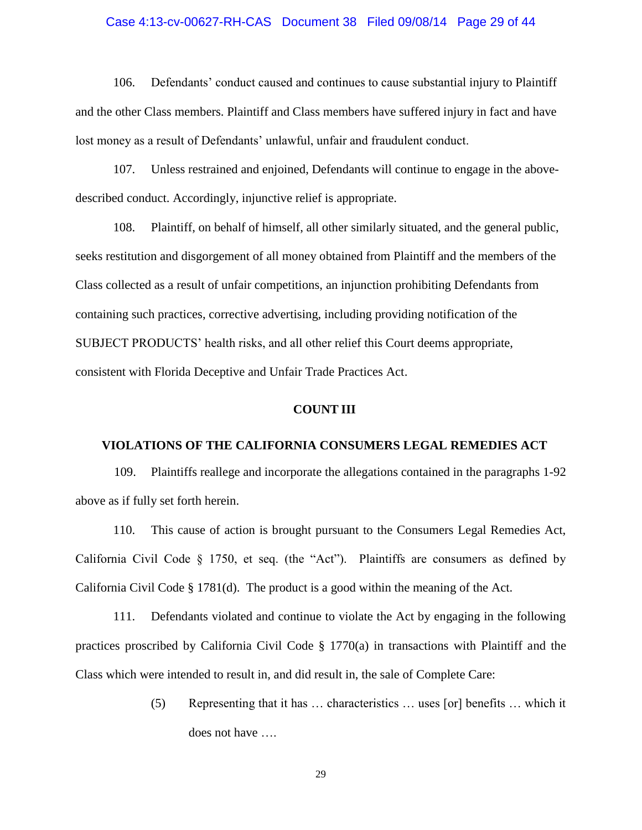#### Case 4:13-cv-00627-RH-CAS Document 38 Filed 09/08/14 Page 29 of 44

106. Defendants' conduct caused and continues to cause substantial injury to Plaintiff and the other Class members. Plaintiff and Class members have suffered injury in fact and have lost money as a result of Defendants' unlawful, unfair and fraudulent conduct.

107. Unless restrained and enjoined, Defendants will continue to engage in the abovedescribed conduct. Accordingly, injunctive relief is appropriate.

108. Plaintiff, on behalf of himself, all other similarly situated, and the general public, seeks restitution and disgorgement of all money obtained from Plaintiff and the members of the Class collected as a result of unfair competitions, an injunction prohibiting Defendants from containing such practices, corrective advertising, including providing notification of the SUBJECT PRODUCTS' health risks, and all other relief this Court deems appropriate, consistent with Florida Deceptive and Unfair Trade Practices Act.

### **COUNT III**

### **VIOLATIONS OF THE CALIFORNIA CONSUMERS LEGAL REMEDIES ACT**

109. Plaintiffs reallege and incorporate the allegations contained in the paragraphs 1-92 above as if fully set forth herein.

110. This cause of action is brought pursuant to the Consumers Legal Remedies Act, California Civil Code § 1750, et seq. (the "Act"). Plaintiffs are consumers as defined by California Civil Code § 1781(d). The product is a good within the meaning of the Act.

111. Defendants violated and continue to violate the Act by engaging in the following practices proscribed by California Civil Code § 1770(a) in transactions with Plaintiff and the Class which were intended to result in, and did result in, the sale of Complete Care:

> (5) Representing that it has … characteristics … uses [or] benefits … which it does not have ….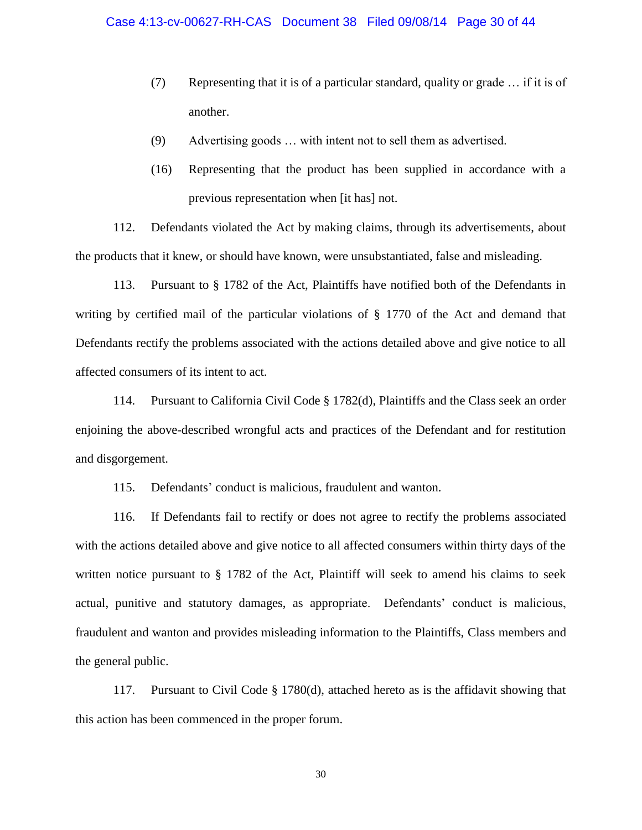- (7) Representing that it is of a particular standard, quality or grade … if it is of another.
- (9) Advertising goods … with intent not to sell them as advertised.
- (16) Representing that the product has been supplied in accordance with a previous representation when [it has] not.

112. Defendants violated the Act by making claims, through its advertisements, about the products that it knew, or should have known, were unsubstantiated, false and misleading.

113. Pursuant to § 1782 of the Act, Plaintiffs have notified both of the Defendants in writing by certified mail of the particular violations of § 1770 of the Act and demand that Defendants rectify the problems associated with the actions detailed above and give notice to all affected consumers of its intent to act.

114. Pursuant to California Civil Code § 1782(d), Plaintiffs and the Class seek an order enjoining the above-described wrongful acts and practices of the Defendant and for restitution and disgorgement.

115. Defendants' conduct is malicious, fraudulent and wanton.

116. If Defendants fail to rectify or does not agree to rectify the problems associated with the actions detailed above and give notice to all affected consumers within thirty days of the written notice pursuant to § 1782 of the Act, Plaintiff will seek to amend his claims to seek actual, punitive and statutory damages, as appropriate. Defendants' conduct is malicious, fraudulent and wanton and provides misleading information to the Plaintiffs, Class members and the general public.

117. Pursuant to Civil Code § 1780(d), attached hereto as is the affidavit showing that this action has been commenced in the proper forum.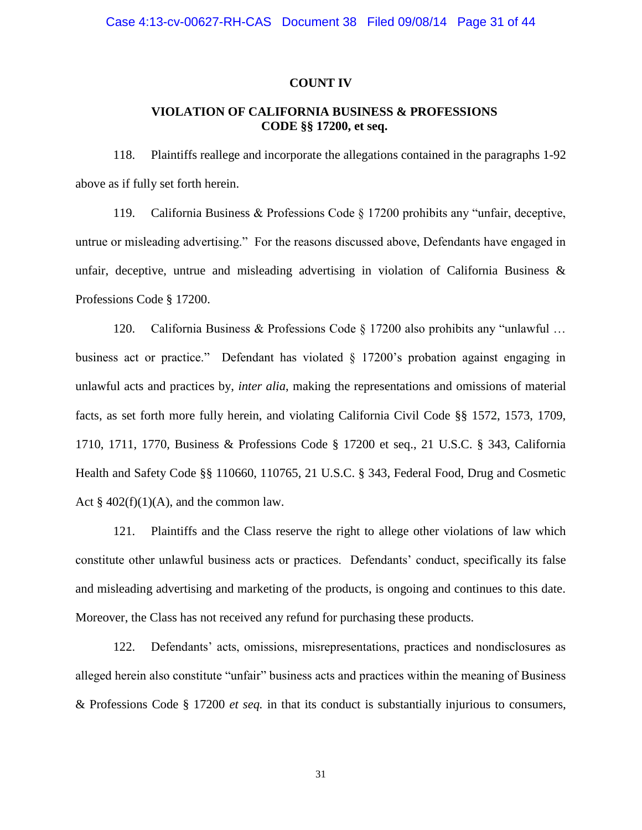#### **COUNT IV**

# **VIOLATION OF CALIFORNIA BUSINESS & PROFESSIONS CODE §§ 17200, et seq.**

118. Plaintiffs reallege and incorporate the allegations contained in the paragraphs 1-92 above as if fully set forth herein.

119. California Business & Professions Code § 17200 prohibits any "unfair, deceptive, untrue or misleading advertising." For the reasons discussed above, Defendants have engaged in unfair, deceptive, untrue and misleading advertising in violation of California Business & Professions Code § 17200.

120. California Business & Professions Code § 17200 also prohibits any "unlawful … business act or practice." Defendant has violated § 17200's probation against engaging in unlawful acts and practices by, *inter alia*, making the representations and omissions of material facts, as set forth more fully herein, and violating California Civil Code §§ 1572, 1573, 1709, 1710, 1711, 1770, Business & Professions Code § 17200 et seq., 21 U.S.C. § 343, California Health and Safety Code §§ 110660, 110765, 21 U.S.C. § 343, Federal Food, Drug and Cosmetic Act  $§$  402(f)(1)(A), and the common law.

121. Plaintiffs and the Class reserve the right to allege other violations of law which constitute other unlawful business acts or practices. Defendants' conduct, specifically its false and misleading advertising and marketing of the products, is ongoing and continues to this date. Moreover, the Class has not received any refund for purchasing these products.

122. Defendants' acts, omissions, misrepresentations, practices and nondisclosures as alleged herein also constitute "unfair" business acts and practices within the meaning of Business & Professions Code § 17200 *et seq.* in that its conduct is substantially injurious to consumers,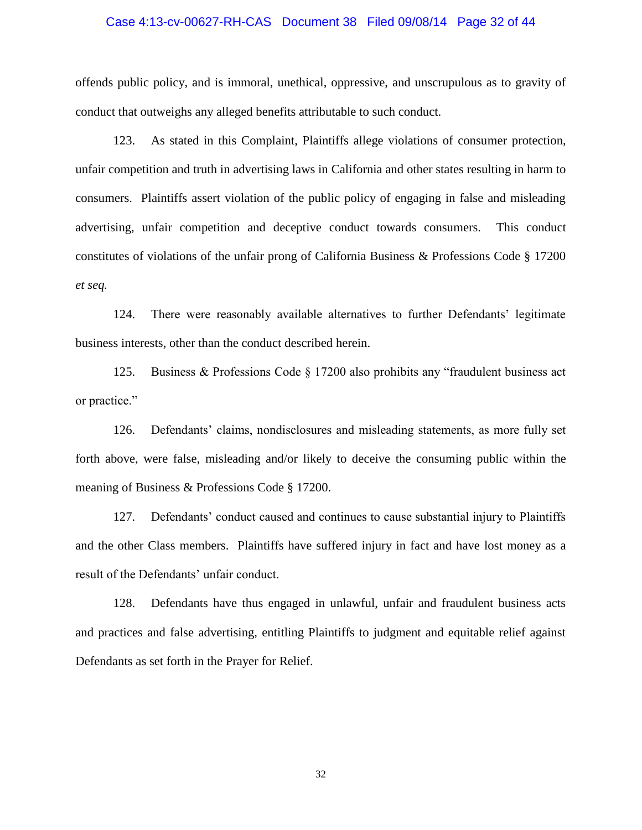#### Case 4:13-cv-00627-RH-CAS Document 38 Filed 09/08/14 Page 32 of 44

offends public policy, and is immoral, unethical, oppressive, and unscrupulous as to gravity of conduct that outweighs any alleged benefits attributable to such conduct.

123. As stated in this Complaint, Plaintiffs allege violations of consumer protection, unfair competition and truth in advertising laws in California and other states resulting in harm to consumers. Plaintiffs assert violation of the public policy of engaging in false and misleading advertising, unfair competition and deceptive conduct towards consumers. This conduct constitutes of violations of the unfair prong of California Business & Professions Code § 17200 *et seq.*

124. There were reasonably available alternatives to further Defendants' legitimate business interests, other than the conduct described herein.

125. Business & Professions Code § 17200 also prohibits any "fraudulent business act or practice."

126. Defendants' claims, nondisclosures and misleading statements, as more fully set forth above, were false, misleading and/or likely to deceive the consuming public within the meaning of Business & Professions Code § 17200.

127. Defendants' conduct caused and continues to cause substantial injury to Plaintiffs and the other Class members. Plaintiffs have suffered injury in fact and have lost money as a result of the Defendants' unfair conduct.

128. Defendants have thus engaged in unlawful, unfair and fraudulent business acts and practices and false advertising, entitling Plaintiffs to judgment and equitable relief against Defendants as set forth in the Prayer for Relief.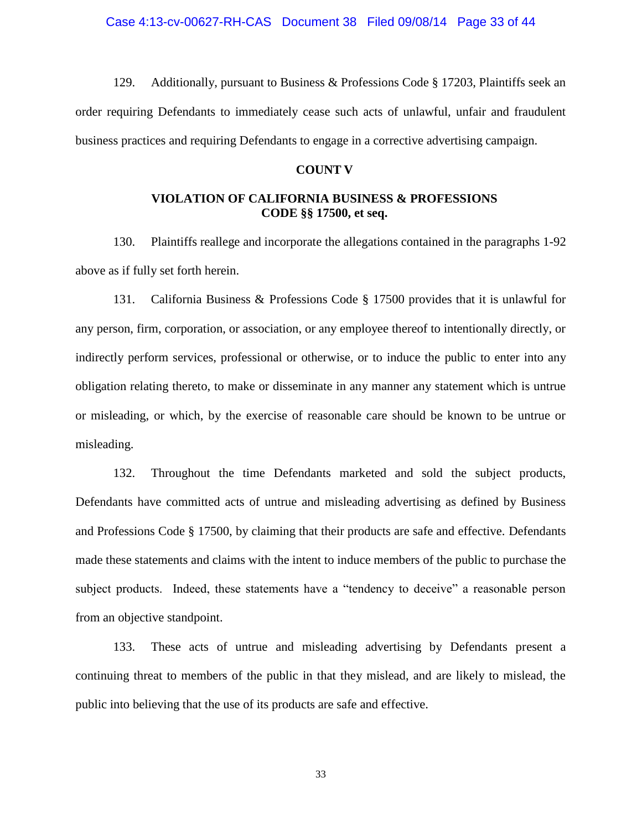Case 4:13-cv-00627-RH-CAS Document 38 Filed 09/08/14 Page 33 of 44

129. Additionally, pursuant to Business & Professions Code § 17203, Plaintiffs seek an order requiring Defendants to immediately cease such acts of unlawful, unfair and fraudulent business practices and requiring Defendants to engage in a corrective advertising campaign.

#### **COUNT V**

# **VIOLATION OF CALIFORNIA BUSINESS & PROFESSIONS CODE §§ 17500, et seq.**

130. Plaintiffs reallege and incorporate the allegations contained in the paragraphs 1-92 above as if fully set forth herein.

131. California Business & Professions Code § 17500 provides that it is unlawful for any person, firm, corporation, or association, or any employee thereof to intentionally directly, or indirectly perform services, professional or otherwise, or to induce the public to enter into any obligation relating thereto, to make or disseminate in any manner any statement which is untrue or misleading, or which, by the exercise of reasonable care should be known to be untrue or misleading.

132. Throughout the time Defendants marketed and sold the subject products, Defendants have committed acts of untrue and misleading advertising as defined by Business and Professions Code § 17500, by claiming that their products are safe and effective. Defendants made these statements and claims with the intent to induce members of the public to purchase the subject products. Indeed, these statements have a "tendency to deceive" a reasonable person from an objective standpoint.

133. These acts of untrue and misleading advertising by Defendants present a continuing threat to members of the public in that they mislead, and are likely to mislead, the public into believing that the use of its products are safe and effective.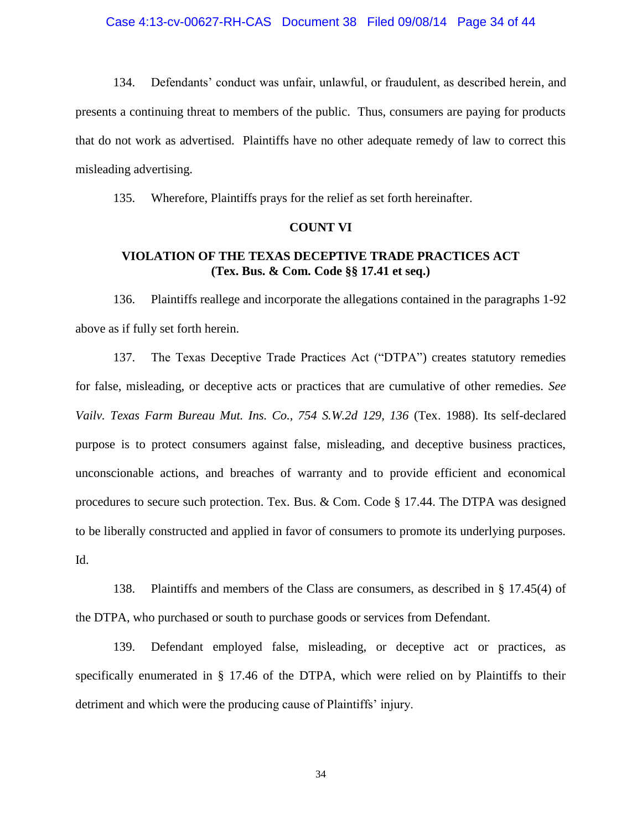#### Case 4:13-cv-00627-RH-CAS Document 38 Filed 09/08/14 Page 34 of 44

134. Defendants' conduct was unfair, unlawful, or fraudulent, as described herein, and presents a continuing threat to members of the public. Thus, consumers are paying for products that do not work as advertised. Plaintiffs have no other adequate remedy of law to correct this misleading advertising.

135. Wherefore, Plaintiffs prays for the relief as set forth hereinafter.

#### **COUNT VI**

# **VIOLATION OF THE TEXAS DECEPTIVE TRADE PRACTICES ACT (Tex. Bus. & Com. Code §§ 17.41 et seq.)**

136. Plaintiffs reallege and incorporate the allegations contained in the paragraphs 1-92 above as if fully set forth herein.

137. The Texas Deceptive Trade Practices Act ("DTPA") creates statutory remedies for false, misleading, or deceptive acts or practices that are cumulative of other remedies. *See Vailv. Texas Farm Bureau Mut. Ins. Co., 754 S.W.2d 129, 136* (Tex. 1988). Its self-declared purpose is to protect consumers against false, misleading, and deceptive business practices, unconscionable actions, and breaches of warranty and to provide efficient and economical procedures to secure such protection. Tex. Bus. & Com. Code § 17.44. The DTPA was designed to be liberally constructed and applied in favor of consumers to promote its underlying purposes. Id.

138. Plaintiffs and members of the Class are consumers, as described in § 17.45(4) of the DTPA, who purchased or south to purchase goods or services from Defendant.

139. Defendant employed false, misleading, or deceptive act or practices, as specifically enumerated in § 17.46 of the DTPA, which were relied on by Plaintiffs to their detriment and which were the producing cause of Plaintiffs' injury.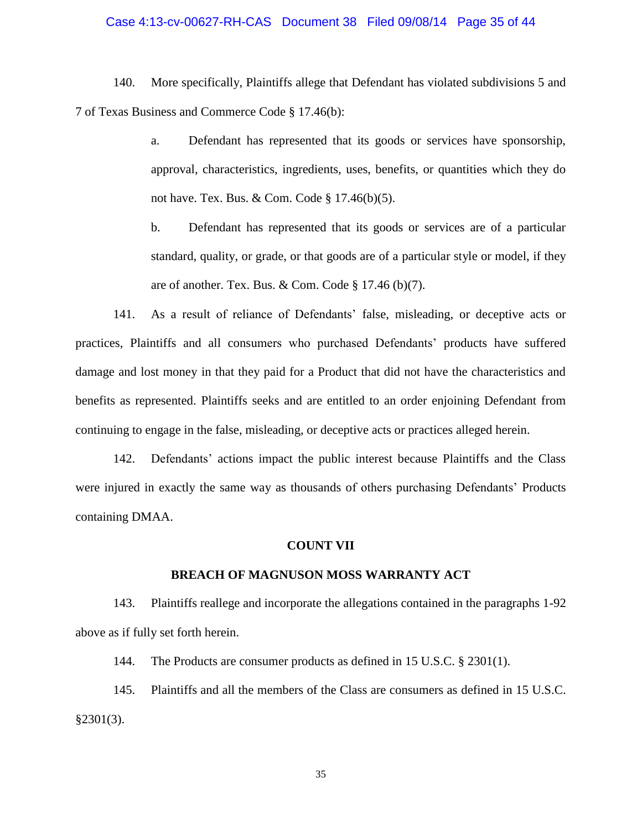#### Case 4:13-cv-00627-RH-CAS Document 38 Filed 09/08/14 Page 35 of 44

140. More specifically, Plaintiffs allege that Defendant has violated subdivisions 5 and 7 of Texas Business and Commerce Code § 17.46(b):

> a. Defendant has represented that its goods or services have sponsorship, approval, characteristics, ingredients, uses, benefits, or quantities which they do not have. Tex. Bus. & Com. Code § 17.46(b)(5).

> b. Defendant has represented that its goods or services are of a particular standard, quality, or grade, or that goods are of a particular style or model, if they are of another. Tex. Bus. & Com. Code  $\S 17.46$  (b)(7).

141. As a result of reliance of Defendants' false, misleading, or deceptive acts or practices, Plaintiffs and all consumers who purchased Defendants' products have suffered damage and lost money in that they paid for a Product that did not have the characteristics and benefits as represented. Plaintiffs seeks and are entitled to an order enjoining Defendant from continuing to engage in the false, misleading, or deceptive acts or practices alleged herein.

142. Defendants' actions impact the public interest because Plaintiffs and the Class were injured in exactly the same way as thousands of others purchasing Defendants' Products containing DMAA.

#### **COUNT VII**

#### **BREACH OF MAGNUSON MOSS WARRANTY ACT**

143. Plaintiffs reallege and incorporate the allegations contained in the paragraphs 1-92 above as if fully set forth herein.

144. The Products are consumer products as defined in 15 U.S.C. § 2301(1).

145. Plaintiffs and all the members of the Class are consumers as defined in 15 U.S.C.  $§2301(3)$ .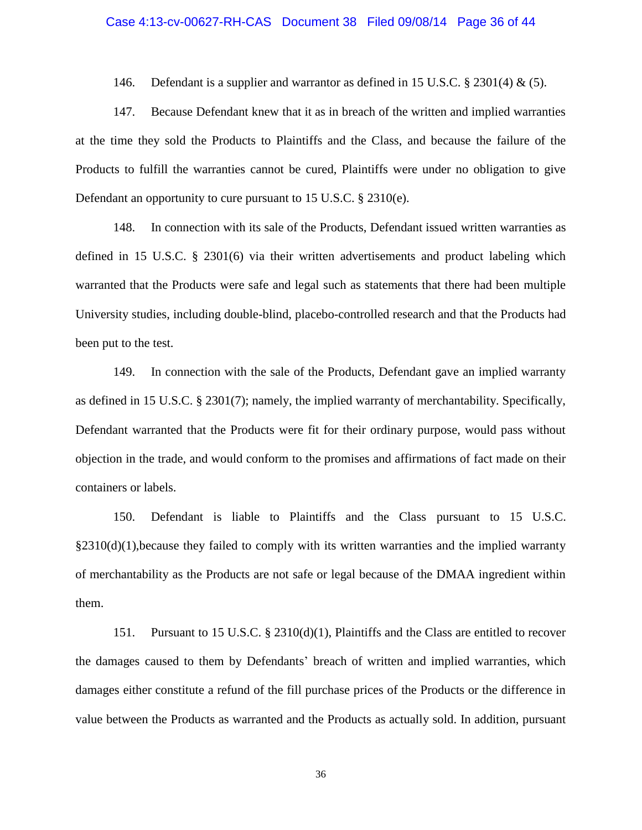#### Case 4:13-cv-00627-RH-CAS Document 38 Filed 09/08/14 Page 36 of 44

146. Defendant is a supplier and warrantor as defined in 15 U.S.C. § 2301(4) & (5).

147. Because Defendant knew that it as in breach of the written and implied warranties at the time they sold the Products to Plaintiffs and the Class, and because the failure of the Products to fulfill the warranties cannot be cured, Plaintiffs were under no obligation to give Defendant an opportunity to cure pursuant to 15 U.S.C. § 2310(e).

148. In connection with its sale of the Products, Defendant issued written warranties as defined in 15 U.S.C. § 2301(6) via their written advertisements and product labeling which warranted that the Products were safe and legal such as statements that there had been multiple University studies, including double-blind, placebo-controlled research and that the Products had been put to the test.

149. In connection with the sale of the Products, Defendant gave an implied warranty as defined in 15 U.S.C. § 2301(7); namely, the implied warranty of merchantability. Specifically, Defendant warranted that the Products were fit for their ordinary purpose, would pass without objection in the trade, and would conform to the promises and affirmations of fact made on their containers or labels.

150. Defendant is liable to Plaintiffs and the Class pursuant to 15 U.S.C. §2310(d)(1),because they failed to comply with its written warranties and the implied warranty of merchantability as the Products are not safe or legal because of the DMAA ingredient within them.

151. Pursuant to 15 U.S.C. § 2310(d)(1), Plaintiffs and the Class are entitled to recover the damages caused to them by Defendants' breach of written and implied warranties, which damages either constitute a refund of the fill purchase prices of the Products or the difference in value between the Products as warranted and the Products as actually sold. In addition, pursuant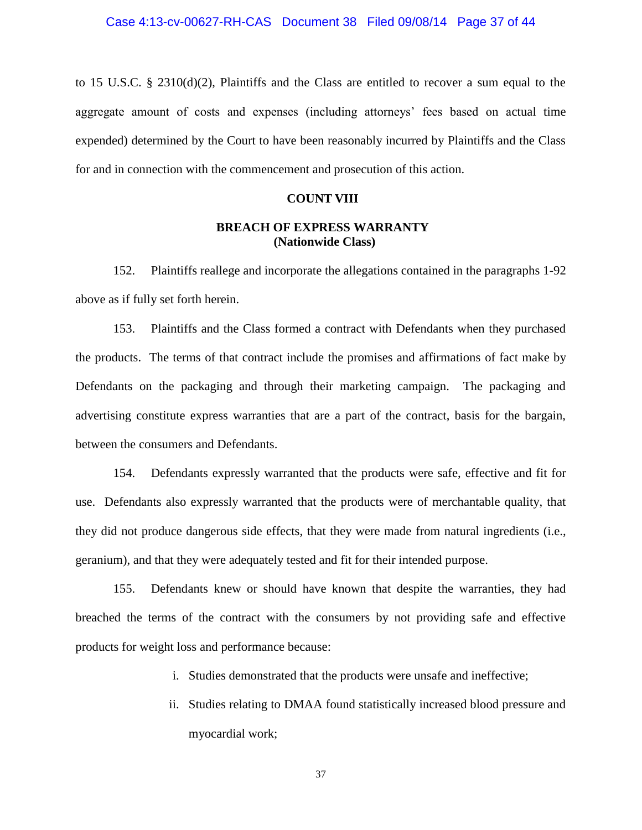to 15 U.S.C. § 2310(d)(2), Plaintiffs and the Class are entitled to recover a sum equal to the aggregate amount of costs and expenses (including attorneys' fees based on actual time expended) determined by the Court to have been reasonably incurred by Plaintiffs and the Class for and in connection with the commencement and prosecution of this action.

# **COUNT VIII**

# **BREACH OF EXPRESS WARRANTY (Nationwide Class)**

152. Plaintiffs reallege and incorporate the allegations contained in the paragraphs 1-92 above as if fully set forth herein.

153. Plaintiffs and the Class formed a contract with Defendants when they purchased the products. The terms of that contract include the promises and affirmations of fact make by Defendants on the packaging and through their marketing campaign. The packaging and advertising constitute express warranties that are a part of the contract, basis for the bargain, between the consumers and Defendants.

154. Defendants expressly warranted that the products were safe, effective and fit for use. Defendants also expressly warranted that the products were of merchantable quality, that they did not produce dangerous side effects, that they were made from natural ingredients (i.e., geranium), and that they were adequately tested and fit for their intended purpose.

155. Defendants knew or should have known that despite the warranties, they had breached the terms of the contract with the consumers by not providing safe and effective products for weight loss and performance because:

- i. Studies demonstrated that the products were unsafe and ineffective;
- ii. Studies relating to DMAA found statistically increased blood pressure and myocardial work;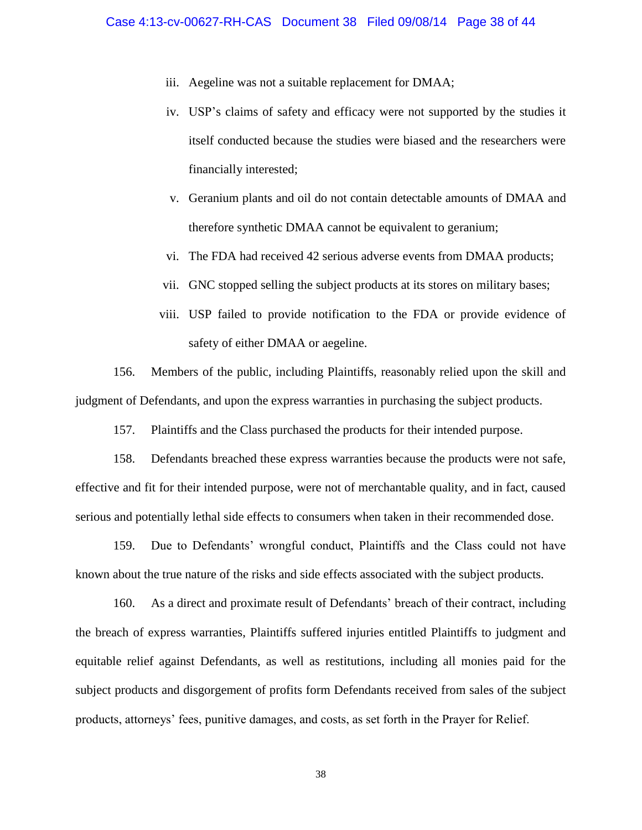- iii. Aegeline was not a suitable replacement for DMAA;
- iv. USP's claims of safety and efficacy were not supported by the studies it itself conducted because the studies were biased and the researchers were financially interested;
- v. Geranium plants and oil do not contain detectable amounts of DMAA and therefore synthetic DMAA cannot be equivalent to geranium;
- vi. The FDA had received 42 serious adverse events from DMAA products;
- vii. GNC stopped selling the subject products at its stores on military bases;
- viii. USP failed to provide notification to the FDA or provide evidence of safety of either DMAA or aegeline.

156. Members of the public, including Plaintiffs, reasonably relied upon the skill and judgment of Defendants, and upon the express warranties in purchasing the subject products.

157. Plaintiffs and the Class purchased the products for their intended purpose.

158. Defendants breached these express warranties because the products were not safe, effective and fit for their intended purpose, were not of merchantable quality, and in fact, caused serious and potentially lethal side effects to consumers when taken in their recommended dose.

159. Due to Defendants' wrongful conduct, Plaintiffs and the Class could not have known about the true nature of the risks and side effects associated with the subject products.

160. As a direct and proximate result of Defendants' breach of their contract, including the breach of express warranties, Plaintiffs suffered injuries entitled Plaintiffs to judgment and equitable relief against Defendants, as well as restitutions, including all monies paid for the subject products and disgorgement of profits form Defendants received from sales of the subject products, attorneys' fees, punitive damages, and costs, as set forth in the Prayer for Relief.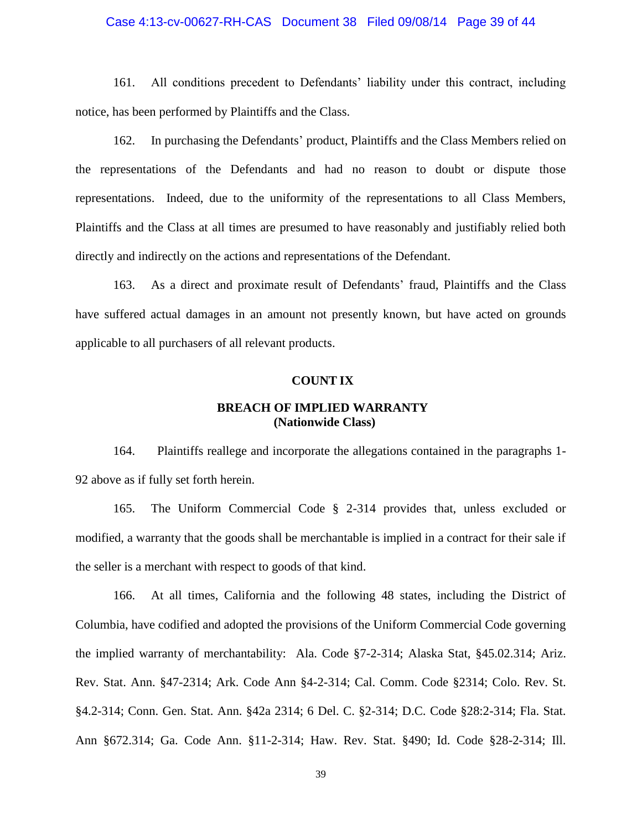#### Case 4:13-cv-00627-RH-CAS Document 38 Filed 09/08/14 Page 39 of 44

161. All conditions precedent to Defendants' liability under this contract, including notice, has been performed by Plaintiffs and the Class.

162. In purchasing the Defendants' product, Plaintiffs and the Class Members relied on the representations of the Defendants and had no reason to doubt or dispute those representations. Indeed, due to the uniformity of the representations to all Class Members, Plaintiffs and the Class at all times are presumed to have reasonably and justifiably relied both directly and indirectly on the actions and representations of the Defendant.

163. As a direct and proximate result of Defendants' fraud, Plaintiffs and the Class have suffered actual damages in an amount not presently known, but have acted on grounds applicable to all purchasers of all relevant products.

### **COUNT IX**

# **BREACH OF IMPLIED WARRANTY (Nationwide Class)**

164. Plaintiffs reallege and incorporate the allegations contained in the paragraphs 1- 92 above as if fully set forth herein.

165. The Uniform Commercial Code § 2-314 provides that, unless excluded or modified, a warranty that the goods shall be merchantable is implied in a contract for their sale if the seller is a merchant with respect to goods of that kind.

166. At all times, California and the following 48 states, including the District of Columbia, have codified and adopted the provisions of the Uniform Commercial Code governing the implied warranty of merchantability: Ala. Code §7-2-314; Alaska Stat, §45.02.314; Ariz. Rev. Stat. Ann. §47-2314; Ark. Code Ann §4-2-314; Cal. Comm. Code §2314; Colo. Rev. St. §4.2-314; Conn. Gen. Stat. Ann. §42a 2314; 6 Del. C. §2-314; D.C. Code §28:2-314; Fla. Stat. Ann §672.314; Ga. Code Ann. §11-2-314; Haw. Rev. Stat. §490; Id. Code §28-2-314; Ill.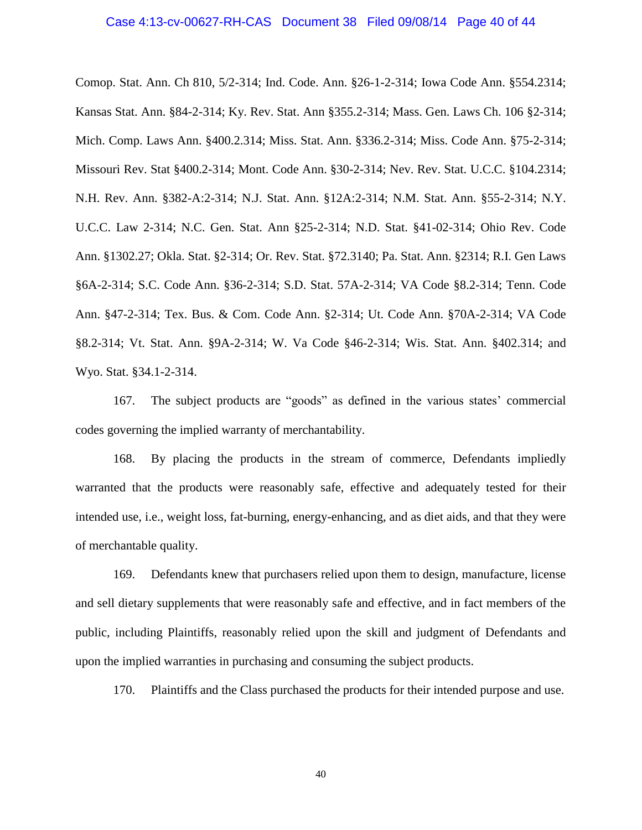#### Case 4:13-cv-00627-RH-CAS Document 38 Filed 09/08/14 Page 40 of 44

Comop. Stat. Ann. Ch 810, 5/2-314; Ind. Code. Ann. §26-1-2-314; Iowa Code Ann. §554.2314; Kansas Stat. Ann. §84-2-314; Ky. Rev. Stat. Ann §355.2-314; Mass. Gen. Laws Ch. 106 §2-314; Mich. Comp. Laws Ann. §400.2.314; Miss. Stat. Ann. §336.2-314; Miss. Code Ann. §75-2-314; Missouri Rev. Stat §400.2-314; Mont. Code Ann. §30-2-314; Nev. Rev. Stat. U.C.C. §104.2314; N.H. Rev. Ann. §382-A:2-314; N.J. Stat. Ann. §12A:2-314; N.M. Stat. Ann. §55-2-314; N.Y. U.C.C. Law 2-314; N.C. Gen. Stat. Ann §25-2-314; N.D. Stat. §41-02-314; Ohio Rev. Code Ann. §1302.27; Okla. Stat. §2-314; Or. Rev. Stat. §72.3140; Pa. Stat. Ann. §2314; R.I. Gen Laws §6A-2-314; S.C. Code Ann. §36-2-314; S.D. Stat. 57A-2-314; VA Code §8.2-314; Tenn. Code Ann. §47-2-314; Tex. Bus. & Com. Code Ann. §2-314; Ut. Code Ann. §70A-2-314; VA Code §8.2-314; Vt. Stat. Ann. §9A-2-314; W. Va Code §46-2-314; Wis. Stat. Ann. §402.314; and Wyo. Stat. §34.1-2-314.

167. The subject products are "goods" as defined in the various states' commercial codes governing the implied warranty of merchantability.

168. By placing the products in the stream of commerce, Defendants impliedly warranted that the products were reasonably safe, effective and adequately tested for their intended use, i.e., weight loss, fat-burning, energy-enhancing, and as diet aids, and that they were of merchantable quality.

169. Defendants knew that purchasers relied upon them to design, manufacture, license and sell dietary supplements that were reasonably safe and effective, and in fact members of the public, including Plaintiffs, reasonably relied upon the skill and judgment of Defendants and upon the implied warranties in purchasing and consuming the subject products.

170. Plaintiffs and the Class purchased the products for their intended purpose and use.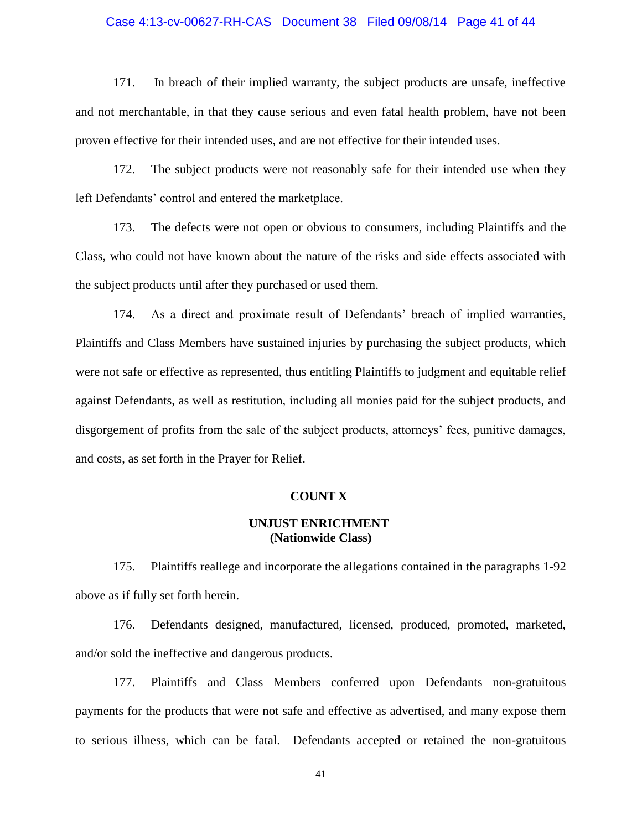#### Case 4:13-cv-00627-RH-CAS Document 38 Filed 09/08/14 Page 41 of 44

171. In breach of their implied warranty, the subject products are unsafe, ineffective and not merchantable, in that they cause serious and even fatal health problem, have not been proven effective for their intended uses, and are not effective for their intended uses.

172. The subject products were not reasonably safe for their intended use when they left Defendants' control and entered the marketplace.

173. The defects were not open or obvious to consumers, including Plaintiffs and the Class, who could not have known about the nature of the risks and side effects associated with the subject products until after they purchased or used them.

174. As a direct and proximate result of Defendants' breach of implied warranties, Plaintiffs and Class Members have sustained injuries by purchasing the subject products, which were not safe or effective as represented, thus entitling Plaintiffs to judgment and equitable relief against Defendants, as well as restitution, including all monies paid for the subject products, and disgorgement of profits from the sale of the subject products, attorneys' fees, punitive damages, and costs, as set forth in the Prayer for Relief.

#### **COUNT X**

# **UNJUST ENRICHMENT (Nationwide Class)**

175. Plaintiffs reallege and incorporate the allegations contained in the paragraphs 1-92 above as if fully set forth herein.

176. Defendants designed, manufactured, licensed, produced, promoted, marketed, and/or sold the ineffective and dangerous products.

177. Plaintiffs and Class Members conferred upon Defendants non-gratuitous payments for the products that were not safe and effective as advertised, and many expose them to serious illness, which can be fatal. Defendants accepted or retained the non-gratuitous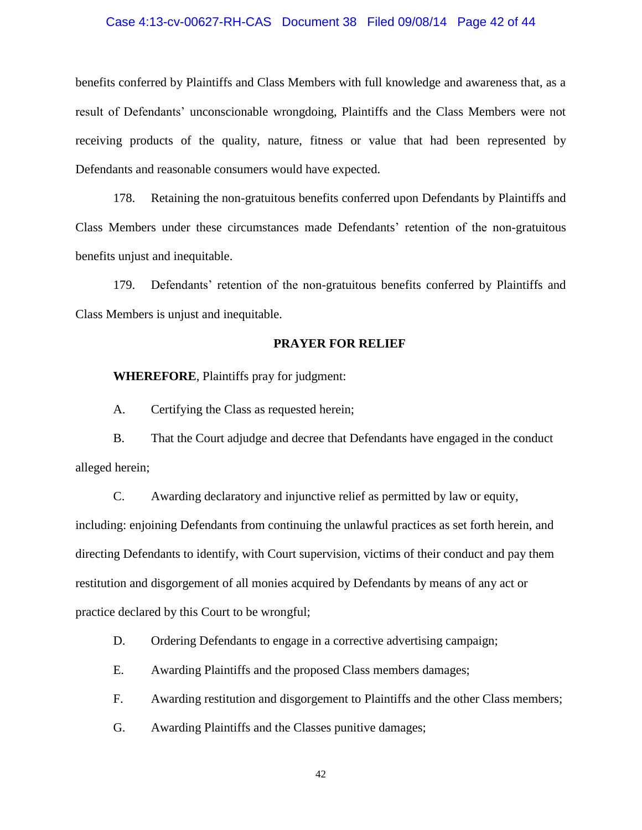#### Case 4:13-cv-00627-RH-CAS Document 38 Filed 09/08/14 Page 42 of 44

benefits conferred by Plaintiffs and Class Members with full knowledge and awareness that, as a result of Defendants' unconscionable wrongdoing, Plaintiffs and the Class Members were not receiving products of the quality, nature, fitness or value that had been represented by Defendants and reasonable consumers would have expected.

178. Retaining the non-gratuitous benefits conferred upon Defendants by Plaintiffs and Class Members under these circumstances made Defendants' retention of the non-gratuitous benefits unjust and inequitable.

179. Defendants' retention of the non-gratuitous benefits conferred by Plaintiffs and Class Members is unjust and inequitable.

#### **PRAYER FOR RELIEF**

**WHEREFORE**, Plaintiffs pray for judgment:

A. Certifying the Class as requested herein;

B. That the Court adjudge and decree that Defendants have engaged in the conduct alleged herein;

C. Awarding declaratory and injunctive relief as permitted by law or equity, including: enjoining Defendants from continuing the unlawful practices as set forth herein, and directing Defendants to identify, with Court supervision, victims of their conduct and pay them restitution and disgorgement of all monies acquired by Defendants by means of any act or practice declared by this Court to be wrongful;

D. Ordering Defendants to engage in a corrective advertising campaign;

E. Awarding Plaintiffs and the proposed Class members damages;

F. Awarding restitution and disgorgement to Plaintiffs and the other Class members;

G. Awarding Plaintiffs and the Classes punitive damages;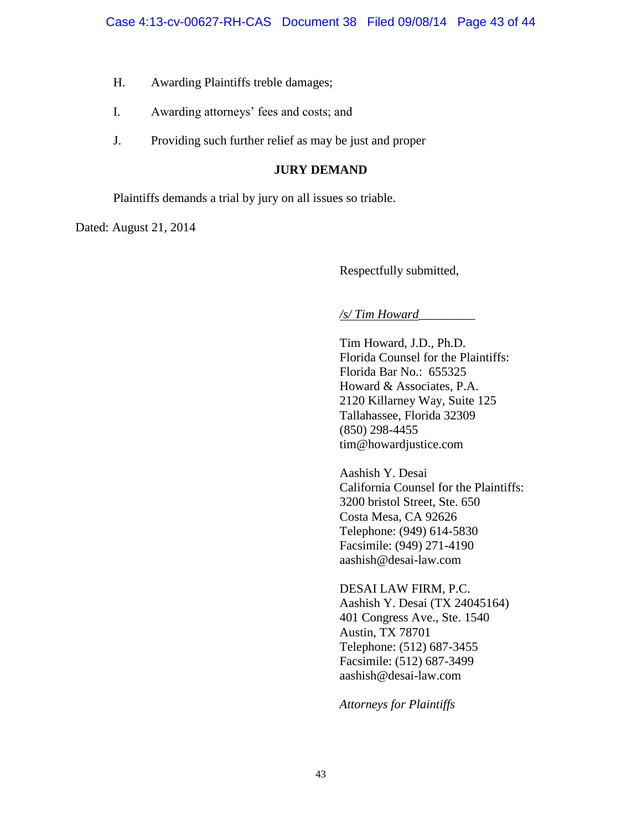- H. Awarding Plaintiffs treble damages;
- I. Awarding attorneys' fees and costs; and
- J. Providing such further relief as may be just and proper

# **JURY DEMAND**

Plaintiffs demands a trial by jury on all issues so triable.

Dated: August 21, 2014

Respectfully submitted,

# */s/ Tim Howard\_\_\_\_\_\_\_\_\_*

Tim Howard, J.D., Ph.D. Florida Counsel for the Plaintiffs: Florida Bar No.: 655325 Howard & Associates, P.A. 2120 Killarney Way, Suite 125 Tallahassee, Florida 32309 (850) 298-4455 tim@howardjustice.com

Aashish Y. Desai California Counsel for the Plaintiffs: 3200 bristol Street, Ste. 650 Costa Mesa, CA 92626 Telephone: (949) 614-5830 Facsimile: (949) 271-4190 aashish@desai-law.com

# DESAI LAW FIRM, P.C.

Aashish Y. Desai (TX 24045164) 401 Congress Ave., Ste. 1540 Austin, TX 78701 Telephone: (512) 687-3455 Facsimile: (512) 687-3499 aashish@desai-law.com

*Attorneys for Plaintiffs*